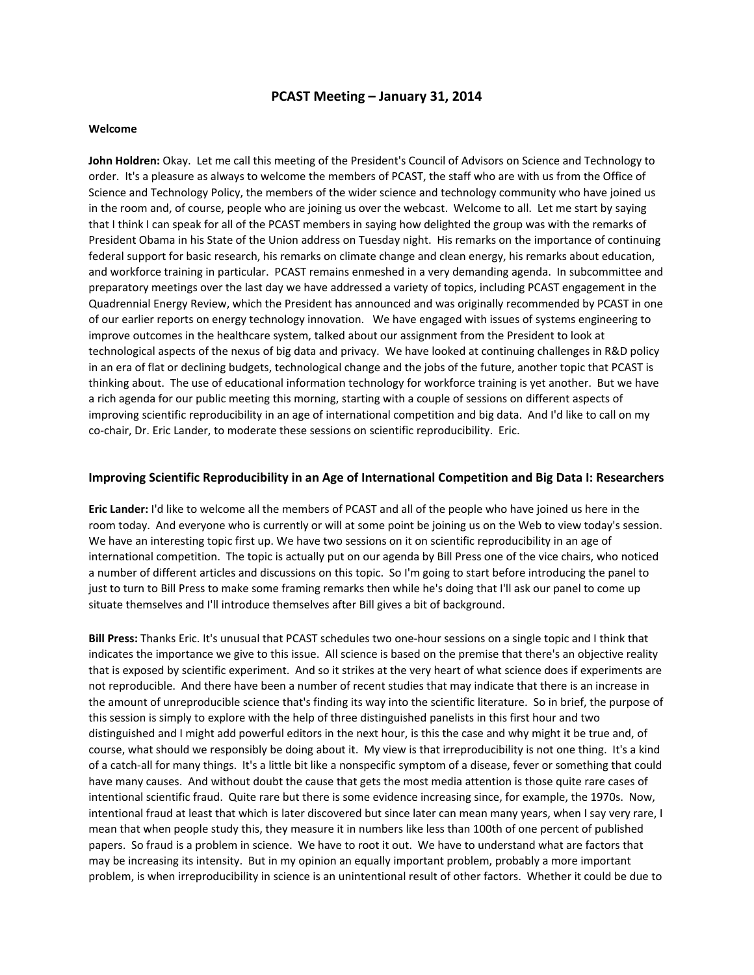# **PCAST Meeting – January 31, 2014**

### **Welcome**

**John Holdren:** Okay. Let me call this meeting of the President's Council of Advisors on Science and Technology to order. It's a pleasure as always to welcome the members of PCAST, the staff who are with us from the Office of Science and Technology Policy, the members of the wider science and technology community who have joined us in the room and, of course, people who are joining us over the webcast. Welcome to all. Let me start by saying that I think I can speak for all of the PCAST members in saying how delighted the group was with the remarks of President Obama in his State of the Union address on Tuesday night. His remarks on the importance of continuing federal support for basic research, his remarks on climate change and clean energy, his remarks about education, and workforce training in particular. PCAST remains enmeshed in a very demanding agenda. In subcommittee and preparatory meetings over the last day we have addressed a variety of topics, including PCAST engagement in the Quadrennial Energy Review, which the President has announced and was originally recommended by PCAST in one of our earlier reports on energy technology innovation. We have engaged with issues of systems engineering to improve outcomes in the healthcare system, talked about our assignment from the President to look at technological aspects of the nexus of big data and privacy. We have looked at continuing challenges in R&D policy in an era of flat or declining budgets, technological change and the jobs of the future, another topic that PCAST is thinking about. The use of educational information technology for workforce training is yet another. But we have a rich agenda for our public meeting this morning, starting with a couple of sessions on different aspects of improving scientific reproducibility in an age of international competition and big data. And I'd like to call on my co-chair, Dr. Eric Lander, to moderate these sessions on scientific reproducibility. Eric.

## **Improving Scientific Reproducibility in an Age of International Competition and Big Data I: Researchers**

**Eric Lander:** I'd like to welcome all the members of PCAST and all of the people who have joined us here in the room today. And everyone who is currently or will at some point be joining us on the Web to view today's session. We have an interesting topic first up. We have two sessions on it on scientific reproducibility in an age of international competition. The topic is actually put on our agenda by Bill Press one of the vice chairs, who noticed a number of different articles and discussions on this topic. So I'm going to start before introducing the panel to just to turn to Bill Press to make some framing remarks then while he's doing that I'll ask our panel to come up situate themselves and I'll introduce themselves after Bill gives a bit of background.

**Bill Press:** Thanks Eric. It's unusual that PCAST schedules two one‐hour sessions on a single topic and I think that indicates the importance we give to this issue. All science is based on the premise that there's an objective reality that is exposed by scientific experiment. And so it strikes at the very heart of what science does if experiments are not reproducible. And there have been a number of recent studies that may indicate that there is an increase in the amount of unreproducible science that's finding its way into the scientific literature. So in brief, the purpose of this session is simply to explore with the help of three distinguished panelists in this first hour and two distinguished and I might add powerful editors in the next hour, is this the case and why might it be true and, of course, what should we responsibly be doing about it. My view is that irreproducibility is not one thing. It's a kind of a catch-all for many things. It's a little bit like a nonspecific symptom of a disease, fever or something that could have many causes. And without doubt the cause that gets the most media attention is those quite rare cases of intentional scientific fraud. Quite rare but there is some evidence increasing since, for example, the 1970s. Now, intentional fraud at least that which is later discovered but since later can mean many years, when I say very rare, I mean that when people study this, they measure it in numbers like less than 100th of one percent of published papers. So fraud is a problem in science. We have to root it out. We have to understand what are factors that may be increasing its intensity. But in my opinion an equally important problem, probably a more important problem, is when irreproducibility in science is an unintentional result of other factors. Whether it could be due to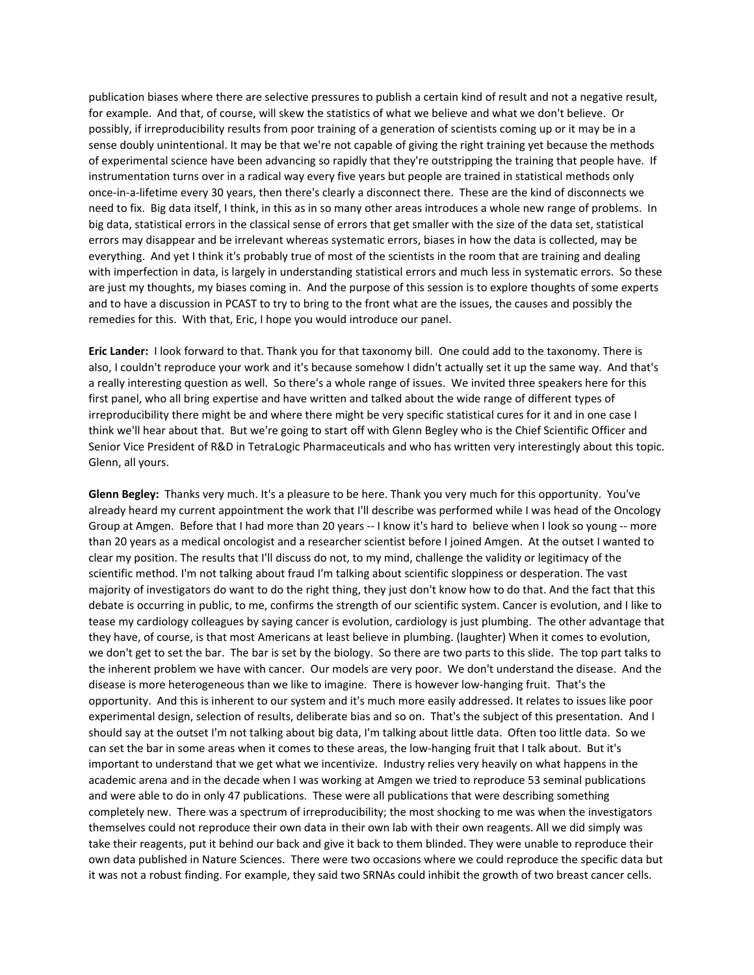publication biases where there are selective pressures to publish a certain kind of result and not a negative result, for example. And that, of course, will skew the statistics of what we believe and what we don't believe. Or possibly, if irreproducibility results from poor training of a generation of scientists coming up or it may be in a sense doubly unintentional. It may be that we're not capable of giving the right training yet because the methods of experimental science have been advancing so rapidly that they're outstripping the training that people have. If instrumentation turns over in a radical way every five years but people are trained in statistical methods only once‐in‐a‐lifetime every 30 years, then there's clearly a disconnect there. These are the kind of disconnects we need to fix. Big data itself, I think, in this as in so many other areas introduces a whole new range of problems. In big data, statistical errors in the classical sense of errors that get smaller with the size of the data set, statistical errors may disappear and be irrelevant whereas systematic errors, biases in how the data is collected, may be everything. And yet I think it's probably true of most of the scientists in the room that are training and dealing with imperfection in data, is largely in understanding statistical errors and much less in systematic errors. So these are just my thoughts, my biases coming in. And the purpose of this session is to explore thoughts of some experts and to have a discussion in PCAST to try to bring to the front what are the issues, the causes and possibly the remedies for this. With that, Eric, I hope you would introduce our panel.

**Eric Lander:** I look forward to that. Thank you for that taxonomy bill. One could add to the taxonomy. There is also, I couldn't reproduce your work and it's because somehow I didn't actually set it up the same way. And that's a really interesting question as well. So there's a whole range of issues. We invited three speakers here for this first panel, who all bring expertise and have written and talked about the wide range of different types of irreproducibility there might be and where there might be very specific statistical cures for it and in one case I think we'll hear about that. But we're going to start off with Glenn Begley who is the Chief Scientific Officer and Senior Vice President of R&D in TetraLogic Pharmaceuticals and who has written very interestingly about this topic. Glenn, all yours.

**Glenn Begley:** Thanks very much. It's a pleasure to be here. Thank you very much for this opportunity. You've already heard my current appointment the work that I'll describe was performed while I was head of the Oncology Group at Amgen. Before that I had more than 20 years -- I know it's hard to believe when I look so young -- more than 20 years as a medical oncologist and a researcher scientist before I joined Amgen. At the outset I wanted to clear my position. The results that I'll discuss do not, to my mind, challenge the validity or legitimacy of the scientific method. I'm not talking about fraud I'm talking about scientific sloppiness or desperation. The vast majority of investigators do want to do the right thing, they just don't know how to do that. And the fact that this debate is occurring in public, to me, confirms the strength of our scientific system. Cancer is evolution, and I like to tease my cardiology colleagues by saying cancer is evolution, cardiology is just plumbing. The other advantage that they have, of course, is that most Americans at least believe in plumbing. (laughter) When it comes to evolution, we don't get to set the bar. The bar is set by the biology. So there are two parts to this slide. The top part talks to the inherent problem we have with cancer. Our models are very poor. We don't understand the disease. And the disease is more heterogeneous than we like to imagine. There is however low‐hanging fruit. That's the opportunity. And this is inherent to our system and it's much more easily addressed. It relates to issues like poor experimental design, selection of results, deliberate bias and so on. That's the subject of this presentation. And I should say at the outset I'm not talking about big data, I'm talking about little data. Often too little data. So we can set the bar in some areas when it comes to these areas, the low-hanging fruit that I talk about. But it's important to understand that we get what we incentivize. Industry relies very heavily on what happens in the academic arena and in the decade when I was working at Amgen we tried to reproduce 53 seminal publications and were able to do in only 47 publications. These were all publications that were describing something completely new. There was a spectrum of irreproducibility; the most shocking to me was when the investigators themselves could not reproduce their own data in their own lab with their own reagents. All we did simply was take their reagents, put it behind our back and give it back to them blinded. They were unable to reproduce their own data published in Nature Sciences. There were two occasions where we could reproduce the specific data but it was not a robust finding. For example, they said two SRNAs could inhibit the growth of two breast cancer cells.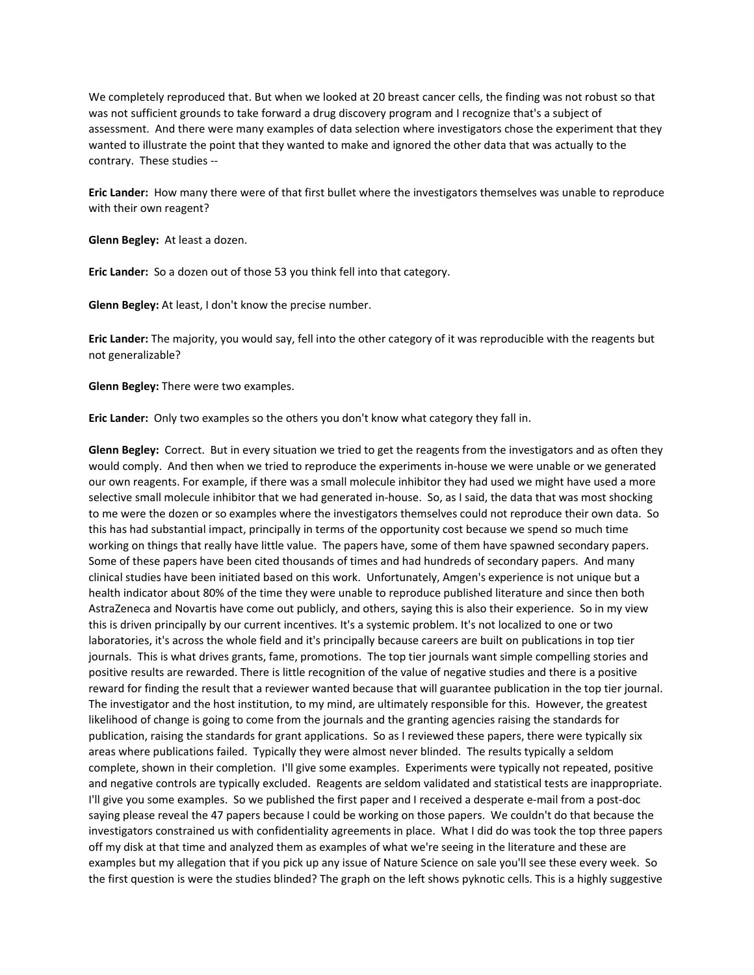We completely reproduced that. But when we looked at 20 breast cancer cells, the finding was not robust so that was not sufficient grounds to take forward a drug discovery program and I recognize that's a subject of assessment. And there were many examples of data selection where investigators chose the experiment that they wanted to illustrate the point that they wanted to make and ignored the other data that was actually to the contrary. These studies ‐‐

**Eric Lander:** How many there were of that first bullet where the investigators themselves was unable to reproduce with their own reagent?

**Glenn Begley:** At least a dozen.

**Eric Lander:** So a dozen out of those 53 you think fell into that category.

**Glenn Begley:** At least, I don't know the precise number.

**Eric Lander:** The majority, you would say, fell into the other category of it was reproducible with the reagents but not generalizable?

**Glenn Begley:** There were two examples.

**Eric Lander:** Only two examples so the others you don't know what category they fall in.

**Glenn Begley:** Correct. But in every situation we tried to get the reagents from the investigators and as often they would comply. And then when we tried to reproduce the experiments in‐house we were unable or we generated our own reagents. For example, if there was a small molecule inhibitor they had used we might have used a more selective small molecule inhibitor that we had generated in-house. So, as I said, the data that was most shocking to me were the dozen or so examples where the investigators themselves could not reproduce their own data. So this has had substantial impact, principally in terms of the opportunity cost because we spend so much time working on things that really have little value. The papers have, some of them have spawned secondary papers. Some of these papers have been cited thousands of times and had hundreds of secondary papers. And many clinical studies have been initiated based on this work. Unfortunately, Amgen's experience is not unique but a health indicator about 80% of the time they were unable to reproduce published literature and since then both AstraZeneca and Novartis have come out publicly, and others, saying this is also their experience. So in my view this is driven principally by our current incentives. It's a systemic problem. It's not localized to one or two laboratories, it's across the whole field and it's principally because careers are built on publications in top tier journals. This is what drives grants, fame, promotions. The top tier journals want simple compelling stories and positive results are rewarded. There is little recognition of the value of negative studies and there is a positive reward for finding the result that a reviewer wanted because that will guarantee publication in the top tier journal. The investigator and the host institution, to my mind, are ultimately responsible for this. However, the greatest likelihood of change is going to come from the journals and the granting agencies raising the standards for publication, raising the standards for grant applications. So as I reviewed these papers, there were typically six areas where publications failed. Typically they were almost never blinded. The results typically a seldom complete, shown in their completion. I'll give some examples. Experiments were typically not repeated, positive and negative controls are typically excluded. Reagents are seldom validated and statistical tests are inappropriate. I'll give you some examples. So we published the first paper and I received a desperate e‐mail from a post‐doc saying please reveal the 47 papers because I could be working on those papers. We couldn't do that because the investigators constrained us with confidentiality agreements in place. What I did do was took the top three papers off my disk at that time and analyzed them as examples of what we're seeing in the literature and these are examples but my allegation that if you pick up any issue of Nature Science on sale you'll see these every week. So the first question is were the studies blinded? The graph on the left shows pyknotic cells. This is a highly suggestive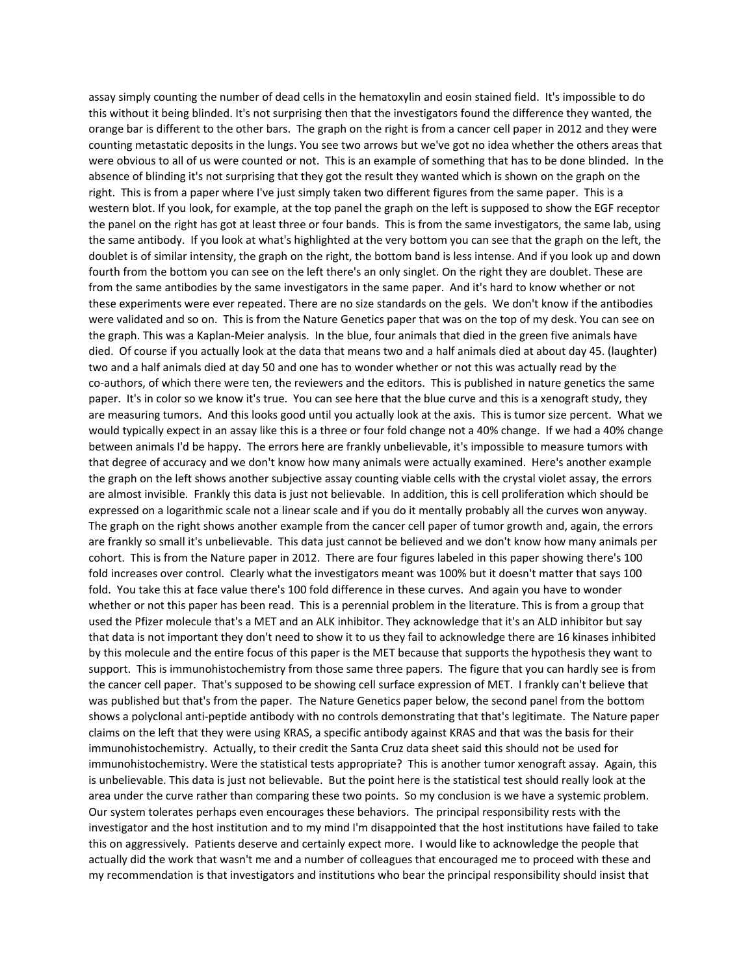assay simply counting the number of dead cells in the hematoxylin and eosin stained field. It's impossible to do this without it being blinded. It's not surprising then that the investigators found the difference they wanted, the orange bar is different to the other bars. The graph on the right is from a cancer cell paper in 2012 and they were counting metastatic deposits in the lungs. You see two arrows but we've got no idea whether the others areas that were obvious to all of us were counted or not. This is an example of something that has to be done blinded. In the absence of blinding it's not surprising that they got the result they wanted which is shown on the graph on the right. This is from a paper where I've just simply taken two different figures from the same paper. This is a western blot. If you look, for example, at the top panel the graph on the left is supposed to show the EGF receptor the panel on the right has got at least three or four bands. This is from the same investigators, the same lab, using the same antibody. If you look at what's highlighted at the very bottom you can see that the graph on the left, the doublet is of similar intensity, the graph on the right, the bottom band is less intense. And if you look up and down fourth from the bottom you can see on the left there's an only singlet. On the right they are doublet. These are from the same antibodies by the same investigators in the same paper. And it's hard to know whether or not these experiments were ever repeated. There are no size standards on the gels. We don't know if the antibodies were validated and so on. This is from the Nature Genetics paper that was on the top of my desk. You can see on the graph. This was a Kaplan‐Meier analysis. In the blue, four animals that died in the green five animals have died. Of course if you actually look at the data that means two and a half animals died at about day 45. (laughter) two and a half animals died at day 50 and one has to wonder whether or not this was actually read by the co-authors, of which there were ten, the reviewers and the editors. This is published in nature genetics the same paper. It's in color so we know it's true. You can see here that the blue curve and this is a xenograft study, they are measuring tumors. And this looks good until you actually look at the axis. This is tumor size percent. What we would typically expect in an assay like this is a three or four fold change not a 40% change. If we had a 40% change between animals I'd be happy. The errors here are frankly unbelievable, it's impossible to measure tumors with that degree of accuracy and we don't know how many animals were actually examined. Here's another example the graph on the left shows another subjective assay counting viable cells with the crystal violet assay, the errors are almost invisible. Frankly this data is just not believable. In addition, this is cell proliferation which should be expressed on a logarithmic scale not a linear scale and if you do it mentally probably all the curves won anyway. The graph on the right shows another example from the cancer cell paper of tumor growth and, again, the errors are frankly so small it's unbelievable. This data just cannot be believed and we don't know how many animals per cohort. This is from the Nature paper in 2012. There are four figures labeled in this paper showing there's 100 fold increases over control. Clearly what the investigators meant was 100% but it doesn't matter that says 100 fold. You take this at face value there's 100 fold difference in these curves. And again you have to wonder whether or not this paper has been read. This is a perennial problem in the literature. This is from a group that used the Pfizer molecule that's a MET and an ALK inhibitor. They acknowledge that it's an ALD inhibitor but say that data is not important they don't need to show it to us they fail to acknowledge there are 16 kinases inhibited by this molecule and the entire focus of this paper is the MET because that supports the hypothesis they want to support. This is immunohistochemistry from those same three papers. The figure that you can hardly see is from the cancer cell paper. That's supposed to be showing cell surface expression of MET. I frankly can't believe that was published but that's from the paper. The Nature Genetics paper below, the second panel from the bottom shows a polyclonal anti‐peptide antibody with no controls demonstrating that that's legitimate. The Nature paper claims on the left that they were using KRAS, a specific antibody against KRAS and that was the basis for their immunohistochemistry. Actually, to their credit the Santa Cruz data sheet said this should not be used for immunohistochemistry. Were the statistical tests appropriate? This is another tumor xenograft assay. Again, this is unbelievable. This data is just not believable. But the point here is the statistical test should really look at the area under the curve rather than comparing these two points. So my conclusion is we have a systemic problem. Our system tolerates perhaps even encourages these behaviors. The principal responsibility rests with the investigator and the host institution and to my mind I'm disappointed that the host institutions have failed to take this on aggressively. Patients deserve and certainly expect more. I would like to acknowledge the people that actually did the work that wasn't me and a number of colleagues that encouraged me to proceed with these and my recommendation is that investigators and institutions who bear the principal responsibility should insist that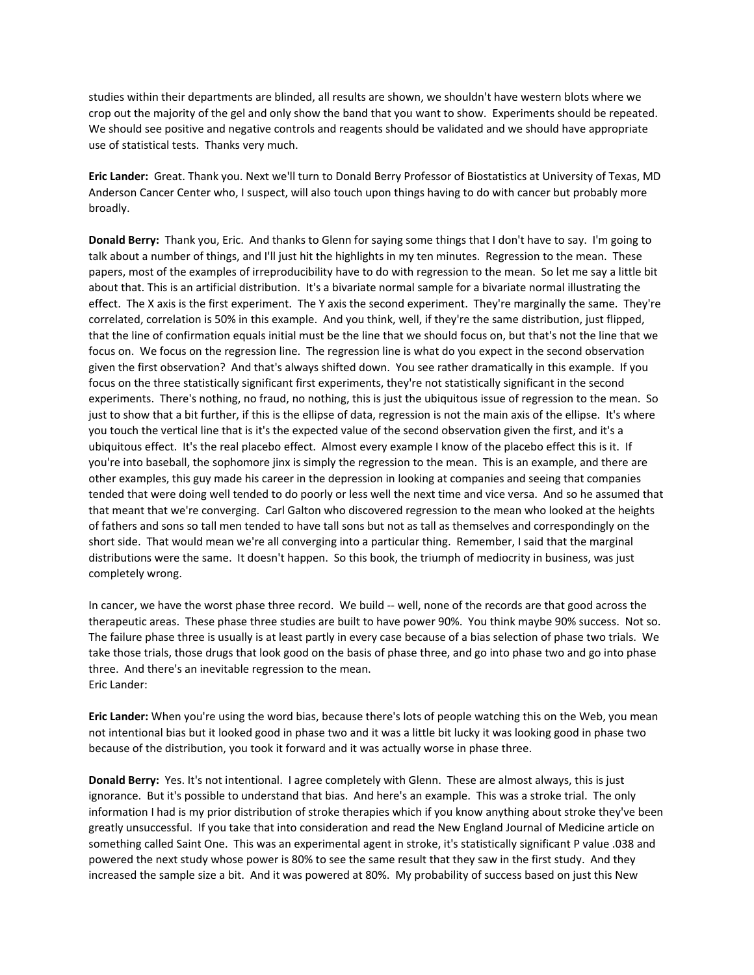studies within their departments are blinded, all results are shown, we shouldn't have western blots where we crop out the majority of the gel and only show the band that you want to show. Experiments should be repeated. We should see positive and negative controls and reagents should be validated and we should have appropriate use of statistical tests. Thanks very much.

**Eric Lander:** Great. Thank you. Next we'll turn to Donald Berry Professor of Biostatistics at University of Texas, MD Anderson Cancer Center who, I suspect, will also touch upon things having to do with cancer but probably more broadly.

**Donald Berry:** Thank you, Eric. And thanks to Glenn for saying some things that I don't have to say. I'm going to talk about a number of things, and I'll just hit the highlights in my ten minutes. Regression to the mean. These papers, most of the examples of irreproducibility have to do with regression to the mean. So let me say a little bit about that. This is an artificial distribution. It's a bivariate normal sample for a bivariate normal illustrating the effect. The X axis is the first experiment. The Y axis the second experiment. They're marginally the same. They're correlated, correlation is 50% in this example. And you think, well, if they're the same distribution, just flipped, that the line of confirmation equals initial must be the line that we should focus on, but that's not the line that we focus on. We focus on the regression line. The regression line is what do you expect in the second observation given the first observation? And that's always shifted down. You see rather dramatically in this example. If you focus on the three statistically significant first experiments, they're not statistically significant in the second experiments. There's nothing, no fraud, no nothing, this is just the ubiquitous issue of regression to the mean. So just to show that a bit further, if this is the ellipse of data, regression is not the main axis of the ellipse. It's where you touch the vertical line that is it's the expected value of the second observation given the first, and it's a ubiquitous effect. It's the real placebo effect. Almost every example I know of the placebo effect this is it. If you're into baseball, the sophomore jinx is simply the regression to the mean. This is an example, and there are other examples, this guy made his career in the depression in looking at companies and seeing that companies tended that were doing well tended to do poorly or less well the next time and vice versa. And so he assumed that that meant that we're converging. Carl Galton who discovered regression to the mean who looked at the heights of fathers and sons so tall men tended to have tall sons but not as tall as themselves and correspondingly on the short side. That would mean we're all converging into a particular thing. Remember, I said that the marginal distributions were the same. It doesn't happen. So this book, the triumph of mediocrity in business, was just completely wrong.

In cancer, we have the worst phase three record. We build -- well, none of the records are that good across the therapeutic areas. These phase three studies are built to have power 90%. You think maybe 90% success. Not so. The failure phase three is usually is at least partly in every case because of a bias selection of phase two trials. We take those trials, those drugs that look good on the basis of phase three, and go into phase two and go into phase three. And there's an inevitable regression to the mean. Eric Lander:

**Eric Lander:** When you're using the word bias, because there's lots of people watching this on the Web, you mean not intentional bias but it looked good in phase two and it was a little bit lucky it was looking good in phase two because of the distribution, you took it forward and it was actually worse in phase three.

**Donald Berry:** Yes. It's not intentional. I agree completely with Glenn. These are almost always, this is just ignorance. But it's possible to understand that bias. And here's an example. This was a stroke trial. The only information I had is my prior distribution of stroke therapies which if you know anything about stroke they've been greatly unsuccessful. If you take that into consideration and read the New England Journal of Medicine article on something called Saint One. This was an experimental agent in stroke, it's statistically significant P value .038 and powered the next study whose power is 80% to see the same result that they saw in the first study. And they increased the sample size a bit. And it was powered at 80%. My probability of success based on just this New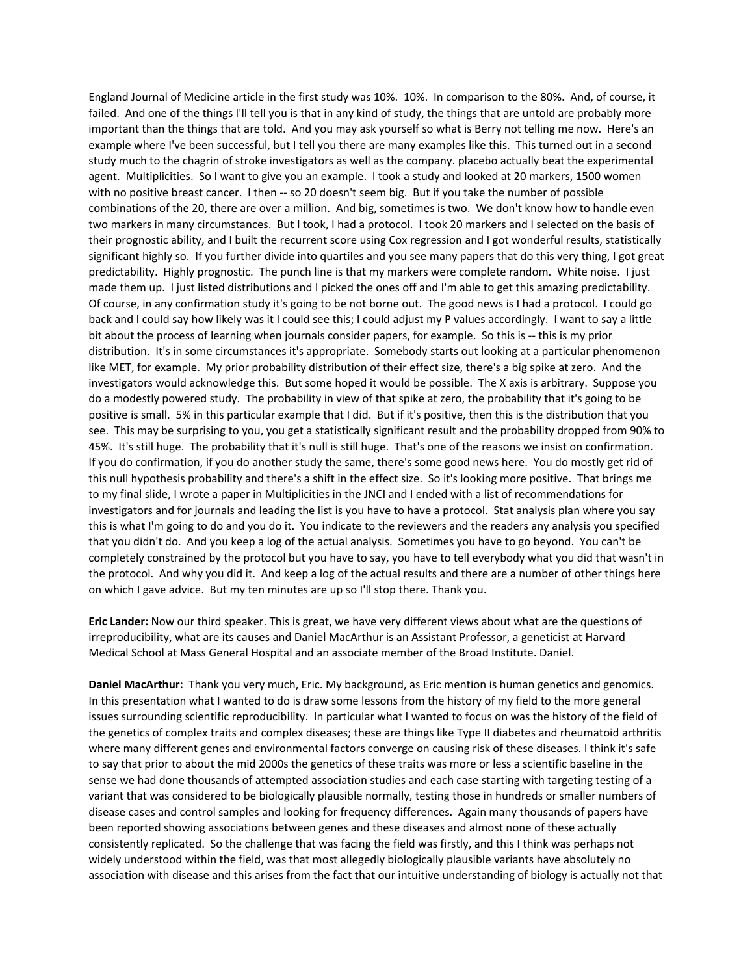England Journal of Medicine article in the first study was 10%. 10%. In comparison to the 80%. And, of course, it failed. And one of the things I'll tell you is that in any kind of study, the things that are untold are probably more important than the things that are told. And you may ask yourself so what is Berry not telling me now. Here's an example where I've been successful, but I tell you there are many examples like this. This turned out in a second study much to the chagrin of stroke investigators as well as the company. placebo actually beat the experimental agent. Multiplicities. So I want to give you an example. I took a study and looked at 20 markers, 1500 women with no positive breast cancer. I then -- so 20 doesn't seem big. But if you take the number of possible combinations of the 20, there are over a million. And big, sometimes is two. We don't know how to handle even two markers in many circumstances. But I took, I had a protocol. I took 20 markers and I selected on the basis of their prognostic ability, and I built the recurrent score using Cox regression and I got wonderful results, statistically significant highly so. If you further divide into quartiles and you see many papers that do this very thing, I got great predictability. Highly prognostic. The punch line is that my markers were complete random. White noise. I just made them up. I just listed distributions and I picked the ones off and I'm able to get this amazing predictability. Of course, in any confirmation study it's going to be not borne out. The good news is I had a protocol. I could go back and I could say how likely was it I could see this; I could adjust my P values accordingly. I want to say a little bit about the process of learning when journals consider papers, for example. So this is -- this is my prior distribution. It's in some circumstances it's appropriate. Somebody starts out looking at a particular phenomenon like MET, for example. My prior probability distribution of their effect size, there's a big spike at zero. And the investigators would acknowledge this. But some hoped it would be possible. The X axis is arbitrary. Suppose you do a modestly powered study. The probability in view of that spike at zero, the probability that it's going to be positive is small. 5% in this particular example that I did. But if it's positive, then this is the distribution that you see. This may be surprising to you, you get a statistically significant result and the probability dropped from 90% to 45%. It's still huge. The probability that it's null is still huge. That's one of the reasons we insist on confirmation. If you do confirmation, if you do another study the same, there's some good news here. You do mostly get rid of this null hypothesis probability and there's a shift in the effect size. So it's looking more positive. That brings me to my final slide, I wrote a paper in Multiplicities in the JNCI and I ended with a list of recommendations for investigators and for journals and leading the list is you have to have a protocol. Stat analysis plan where you say this is what I'm going to do and you do it. You indicate to the reviewers and the readers any analysis you specified that you didn't do. And you keep a log of the actual analysis. Sometimes you have to go beyond. You can't be completely constrained by the protocol but you have to say, you have to tell everybody what you did that wasn't in the protocol. And why you did it. And keep a log of the actual results and there are a number of other things here on which I gave advice. But my ten minutes are up so I'll stop there. Thank you.

**Eric Lander:** Now our third speaker. This is great, we have very different views about what are the questions of irreproducibility, what are its causes and Daniel MacArthur is an Assistant Professor, a geneticist at Harvard Medical School at Mass General Hospital and an associate member of the Broad Institute. Daniel.

**Daniel MacArthur:** Thank you very much, Eric. My background, as Eric mention is human genetics and genomics. In this presentation what I wanted to do is draw some lessons from the history of my field to the more general issues surrounding scientific reproducibility. In particular what I wanted to focus on was the history of the field of the genetics of complex traits and complex diseases; these are things like Type II diabetes and rheumatoid arthritis where many different genes and environmental factors converge on causing risk of these diseases. I think it's safe to say that prior to about the mid 2000s the genetics of these traits was more or less a scientific baseline in the sense we had done thousands of attempted association studies and each case starting with targeting testing of a variant that was considered to be biologically plausible normally, testing those in hundreds or smaller numbers of disease cases and control samples and looking for frequency differences. Again many thousands of papers have been reported showing associations between genes and these diseases and almost none of these actually consistently replicated. So the challenge that was facing the field was firstly, and this I think was perhaps not widely understood within the field, was that most allegedly biologically plausible variants have absolutely no association with disease and this arises from the fact that our intuitive understanding of biology is actually not that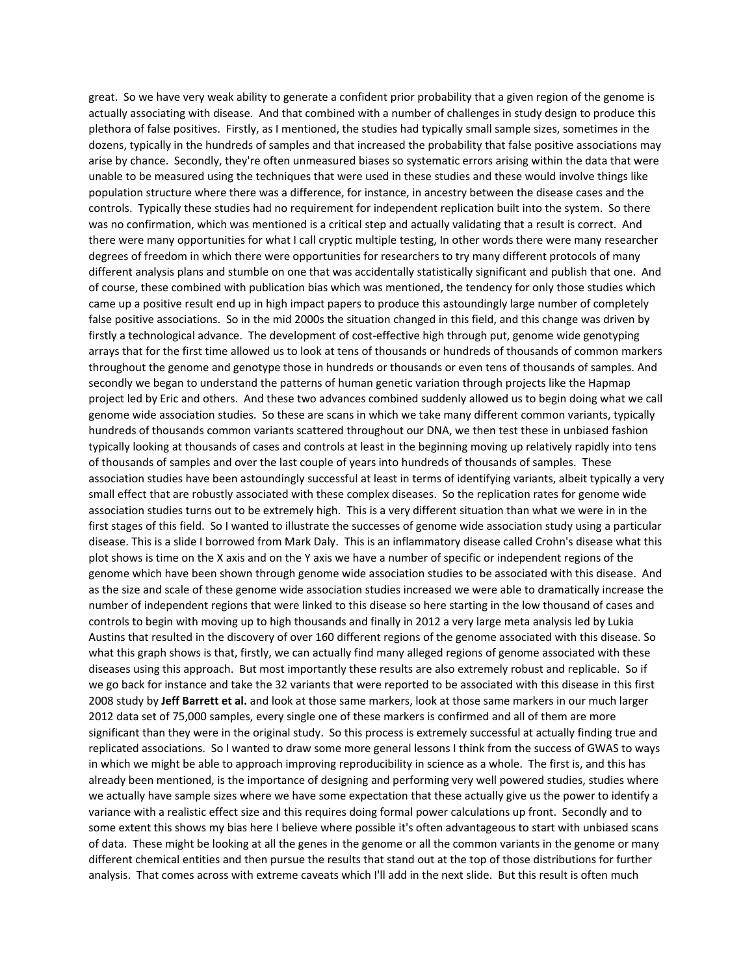great. So we have very weak ability to generate a confident prior probability that a given region of the genome is actually associating with disease. And that combined with a number of challenges in study design to produce this plethora of false positives. Firstly, as I mentioned, the studies had typically small sample sizes, sometimes in the dozens, typically in the hundreds of samples and that increased the probability that false positive associations may arise by chance. Secondly, they're often unmeasured biases so systematic errors arising within the data that were unable to be measured using the techniques that were used in these studies and these would involve things like population structure where there was a difference, for instance, in ancestry between the disease cases and the controls. Typically these studies had no requirement for independent replication built into the system. So there was no confirmation, which was mentioned is a critical step and actually validating that a result is correct. And there were many opportunities for what I call cryptic multiple testing, In other words there were many researcher degrees of freedom in which there were opportunities for researchers to try many different protocols of many different analysis plans and stumble on one that was accidentally statistically significant and publish that one. And of course, these combined with publication bias which was mentioned, the tendency for only those studies which came up a positive result end up in high impact papers to produce this astoundingly large number of completely false positive associations. So in the mid 2000s the situation changed in this field, and this change was driven by firstly a technological advance. The development of cost-effective high through put, genome wide genotyping arrays that for the first time allowed us to look at tens of thousands or hundreds of thousands of common markers throughout the genome and genotype those in hundreds or thousands or even tens of thousands of samples. And secondly we began to understand the patterns of human genetic variation through projects like the Hapmap project led by Eric and others. And these two advances combined suddenly allowed us to begin doing what we call genome wide association studies. So these are scans in which we take many different common variants, typically hundreds of thousands common variants scattered throughout our DNA, we then test these in unbiased fashion typically looking at thousands of cases and controls at least in the beginning moving up relatively rapidly into tens of thousands of samples and over the last couple of years into hundreds of thousands of samples. These association studies have been astoundingly successful at least in terms of identifying variants, albeit typically a very small effect that are robustly associated with these complex diseases. So the replication rates for genome wide association studies turns out to be extremely high. This is a very different situation than what we were in in the first stages of this field. So I wanted to illustrate the successes of genome wide association study using a particular disease. This is a slide I borrowed from Mark Daly. This is an inflammatory disease called Crohn's disease what this plot shows is time on the X axis and on the Y axis we have a number of specific or independent regions of the genome which have been shown through genome wide association studies to be associated with this disease. And as the size and scale of these genome wide association studies increased we were able to dramatically increase the number of independent regions that were linked to this disease so here starting in the low thousand of cases and controls to begin with moving up to high thousands and finally in 2012 a very large meta analysis led by Lukia Austins that resulted in the discovery of over 160 different regions of the genome associated with this disease. So what this graph shows is that, firstly, we can actually find many alleged regions of genome associated with these diseases using this approach. But most importantly these results are also extremely robust and replicable. So if we go back for instance and take the 32 variants that were reported to be associated with this disease in this first 2008 study by **Jeff Barrett et al.** and look at those same markers, look at those same markers in our much larger 2012 data set of 75,000 samples, every single one of these markers is confirmed and all of them are more significant than they were in the original study. So this process is extremely successful at actually finding true and replicated associations. So I wanted to draw some more general lessons I think from the success of GWAS to ways in which we might be able to approach improving reproducibility in science as a whole. The first is, and this has already been mentioned, is the importance of designing and performing very well powered studies, studies where we actually have sample sizes where we have some expectation that these actually give us the power to identify a variance with a realistic effect size and this requires doing formal power calculations up front. Secondly and to some extent this shows my bias here I believe where possible it's often advantageous to start with unbiased scans of data. These might be looking at all the genes in the genome or all the common variants in the genome or many different chemical entities and then pursue the results that stand out at the top of those distributions for further analysis. That comes across with extreme caveats which I'll add in the next slide. But this result is often much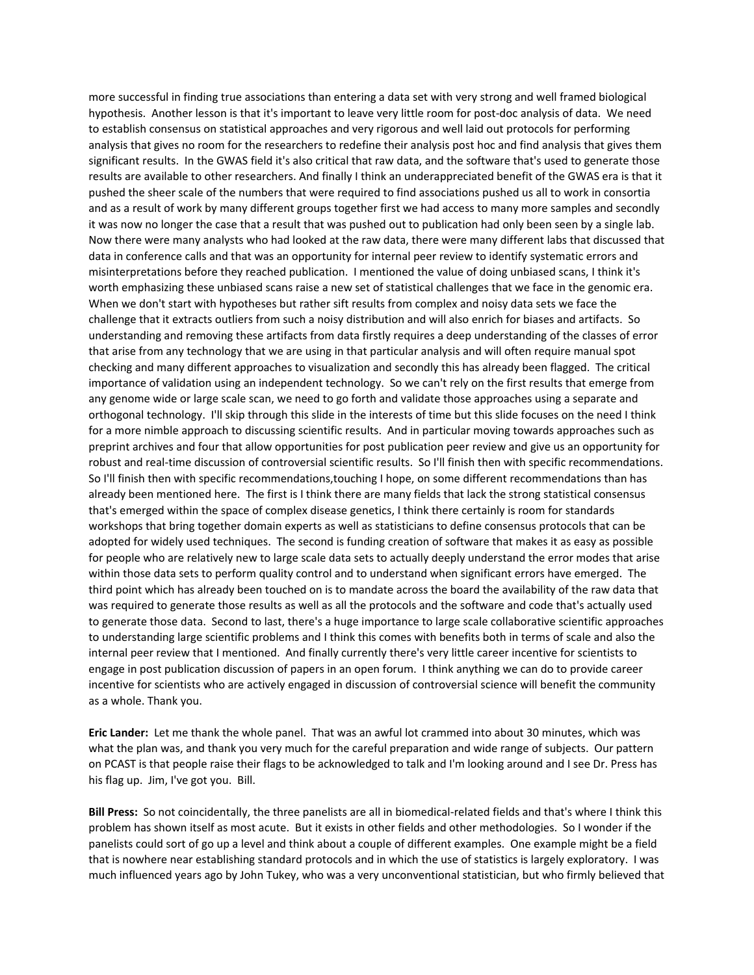more successful in finding true associations than entering a data set with very strong and well framed biological hypothesis. Another lesson is that it's important to leave very little room for post-doc analysis of data. We need to establish consensus on statistical approaches and very rigorous and well laid out protocols for performing analysis that gives no room for the researchers to redefine their analysis post hoc and find analysis that gives them significant results. In the GWAS field it's also critical that raw data, and the software that's used to generate those results are available to other researchers. And finally I think an underappreciated benefit of the GWAS era is that it pushed the sheer scale of the numbers that were required to find associations pushed us all to work in consortia and as a result of work by many different groups together first we had access to many more samples and secondly it was now no longer the case that a result that was pushed out to publication had only been seen by a single lab. Now there were many analysts who had looked at the raw data, there were many different labs that discussed that data in conference calls and that was an opportunity for internal peer review to identify systematic errors and misinterpretations before they reached publication. I mentioned the value of doing unbiased scans, I think it's worth emphasizing these unbiased scans raise a new set of statistical challenges that we face in the genomic era. When we don't start with hypotheses but rather sift results from complex and noisy data sets we face the challenge that it extracts outliers from such a noisy distribution and will also enrich for biases and artifacts. So understanding and removing these artifacts from data firstly requires a deep understanding of the classes of error that arise from any technology that we are using in that particular analysis and will often require manual spot checking and many different approaches to visualization and secondly this has already been flagged. The critical importance of validation using an independent technology. So we can't rely on the first results that emerge from any genome wide or large scale scan, we need to go forth and validate those approaches using a separate and orthogonal technology. I'll skip through this slide in the interests of time but this slide focuses on the need I think for a more nimble approach to discussing scientific results. And in particular moving towards approaches such as preprint archives and four that allow opportunities for post publication peer review and give us an opportunity for robust and real‐time discussion of controversial scientific results. So I'll finish then with specific recommendations. So I'll finish then with specific recommendations,touching I hope, on some different recommendations than has already been mentioned here. The first is I think there are many fields that lack the strong statistical consensus that's emerged within the space of complex disease genetics, I think there certainly is room for standards workshops that bring together domain experts as well as statisticians to define consensus protocols that can be adopted for widely used techniques. The second is funding creation of software that makes it as easy as possible for people who are relatively new to large scale data sets to actually deeply understand the error modes that arise within those data sets to perform quality control and to understand when significant errors have emerged. The third point which has already been touched on is to mandate across the board the availability of the raw data that was required to generate those results as well as all the protocols and the software and code that's actually used to generate those data. Second to last, there's a huge importance to large scale collaborative scientific approaches to understanding large scientific problems and I think this comes with benefits both in terms of scale and also the internal peer review that I mentioned. And finally currently there's very little career incentive for scientists to engage in post publication discussion of papers in an open forum. I think anything we can do to provide career incentive for scientists who are actively engaged in discussion of controversial science will benefit the community as a whole. Thank you.

**Eric Lander:** Let me thank the whole panel. That was an awful lot crammed into about 30 minutes, which was what the plan was, and thank you very much for the careful preparation and wide range of subjects. Our pattern on PCAST is that people raise their flags to be acknowledged to talk and I'm looking around and I see Dr. Press has his flag up. Jim, I've got you. Bill.

**Bill Press:** So not coincidentally, the three panelists are all in biomedical‐related fields and that's where I think this problem has shown itself as most acute. But it exists in other fields and other methodologies. So I wonder if the panelists could sort of go up a level and think about a couple of different examples. One example might be a field that is nowhere near establishing standard protocols and in which the use of statistics is largely exploratory. I was much influenced years ago by John Tukey, who was a very unconventional statistician, but who firmly believed that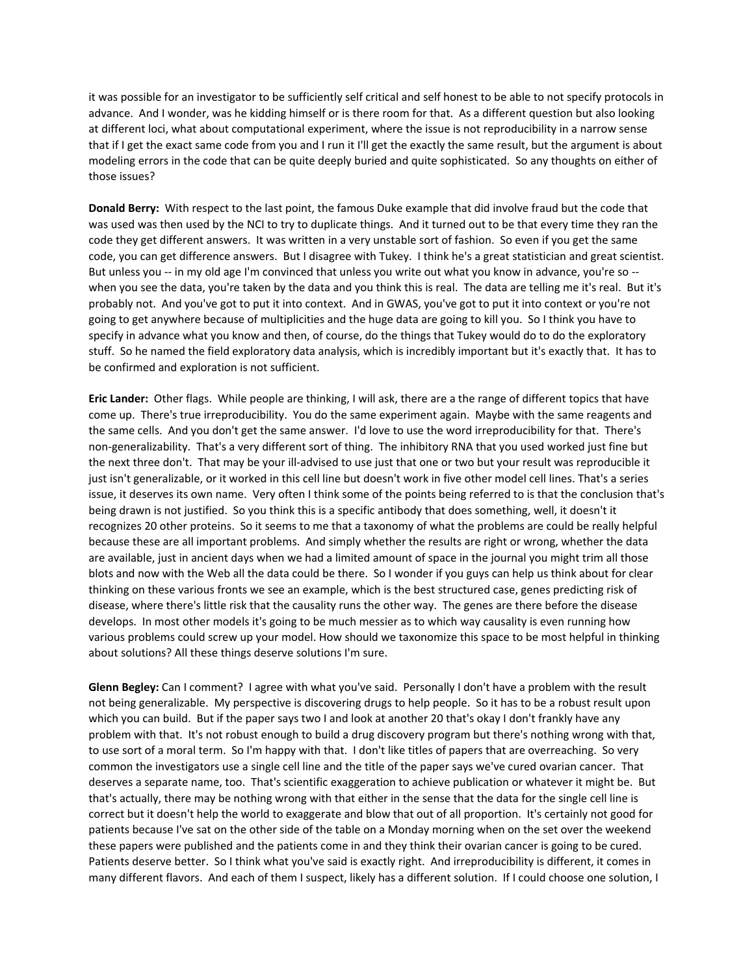it was possible for an investigator to be sufficiently self critical and self honest to be able to not specify protocols in advance. And I wonder, was he kidding himself or is there room for that. As a different question but also looking at different loci, what about computational experiment, where the issue is not reproducibility in a narrow sense that if I get the exact same code from you and I run it I'll get the exactly the same result, but the argument is about modeling errors in the code that can be quite deeply buried and quite sophisticated. So any thoughts on either of those issues?

**Donald Berry:** With respect to the last point, the famous Duke example that did involve fraud but the code that was used was then used by the NCI to try to duplicate things. And it turned out to be that every time they ran the code they get different answers. It was written in a very unstable sort of fashion. So even if you get the same code, you can get difference answers. But I disagree with Tukey. I think he's a great statistician and great scientist. But unless you -- in my old age I'm convinced that unless you write out what you know in advance, you're so -when you see the data, you're taken by the data and you think this is real. The data are telling me it's real. But it's probably not. And you've got to put it into context. And in GWAS, you've got to put it into context or you're not going to get anywhere because of multiplicities and the huge data are going to kill you. So I think you have to specify in advance what you know and then, of course, do the things that Tukey would do to do the exploratory stuff. So he named the field exploratory data analysis, which is incredibly important but it's exactly that. It has to be confirmed and exploration is not sufficient.

**Eric Lander:** Other flags. While people are thinking, I will ask, there are a the range of different topics that have come up. There's true irreproducibility. You do the same experiment again. Maybe with the same reagents and the same cells. And you don't get the same answer. I'd love to use the word irreproducibility for that. There's non‐generalizability. That's a very different sort of thing. The inhibitory RNA that you used worked just fine but the next three don't. That may be your ill‐advised to use just that one or two but your result was reproducible it just isn't generalizable, or it worked in this cell line but doesn't work in five other model cell lines. That's a series issue, it deserves its own name. Very often I think some of the points being referred to is that the conclusion that's being drawn is not justified. So you think this is a specific antibody that does something, well, it doesn't it recognizes 20 other proteins. So it seems to me that a taxonomy of what the problems are could be really helpful because these are all important problems. And simply whether the results are right or wrong, whether the data are available, just in ancient days when we had a limited amount of space in the journal you might trim all those blots and now with the Web all the data could be there. So I wonder if you guys can help us think about for clear thinking on these various fronts we see an example, which is the best structured case, genes predicting risk of disease, where there's little risk that the causality runs the other way. The genes are there before the disease develops. In most other models it's going to be much messier as to which way causality is even running how various problems could screw up your model. How should we taxonomize this space to be most helpful in thinking about solutions? All these things deserve solutions I'm sure.

**Glenn Begley:** Can I comment? I agree with what you've said. Personally I don't have a problem with the result not being generalizable. My perspective is discovering drugs to help people. So it has to be a robust result upon which you can build. But if the paper says two I and look at another 20 that's okay I don't frankly have any problem with that. It's not robust enough to build a drug discovery program but there's nothing wrong with that, to use sort of a moral term. So I'm happy with that. I don't like titles of papers that are overreaching. So very common the investigators use a single cell line and the title of the paper says we've cured ovarian cancer. That deserves a separate name, too. That's scientific exaggeration to achieve publication or whatever it might be. But that's actually, there may be nothing wrong with that either in the sense that the data for the single cell line is correct but it doesn't help the world to exaggerate and blow that out of all proportion. It's certainly not good for patients because I've sat on the other side of the table on a Monday morning when on the set over the weekend these papers were published and the patients come in and they think their ovarian cancer is going to be cured. Patients deserve better. So I think what you've said is exactly right. And irreproducibility is different, it comes in many different flavors. And each of them I suspect, likely has a different solution. If I could choose one solution, I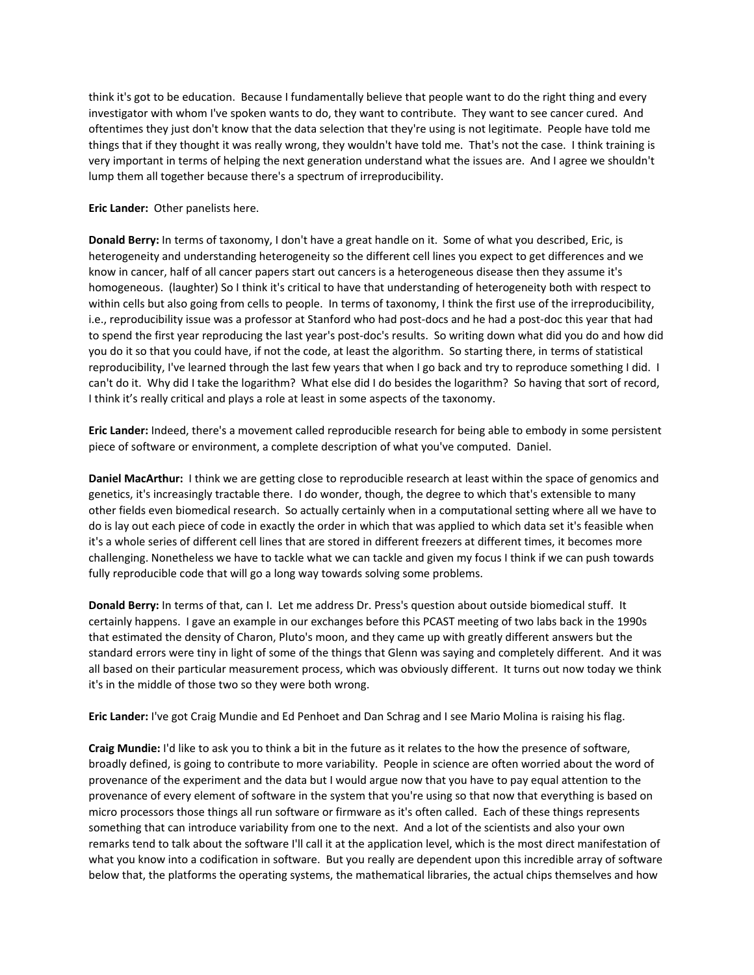think it's got to be education. Because I fundamentally believe that people want to do the right thing and every investigator with whom I've spoken wants to do, they want to contribute. They want to see cancer cured. And oftentimes they just don't know that the data selection that they're using is not legitimate. People have told me things that if they thought it was really wrong, they wouldn't have told me. That's not the case. I think training is very important in terms of helping the next generation understand what the issues are. And I agree we shouldn't lump them all together because there's a spectrum of irreproducibility.

## **Eric Lander:** Other panelists here.

**Donald Berry:** In terms of taxonomy, I don't have a great handle on it. Some of what you described, Eric, is heterogeneity and understanding heterogeneity so the different cell lines you expect to get differences and we know in cancer, half of all cancer papers start out cancers is a heterogeneous disease then they assume it's homogeneous. (laughter) So I think it's critical to have that understanding of heterogeneity both with respect to within cells but also going from cells to people. In terms of taxonomy, I think the first use of the irreproducibility, i.e., reproducibility issue was a professor at Stanford who had post‐docs and he had a post‐doc this year that had to spend the first year reproducing the last year's post-doc's results. So writing down what did you do and how did you do it so that you could have, if not the code, at least the algorithm. So starting there, in terms of statistical reproducibility, I've learned through the last few years that when I go back and try to reproduce something I did. I can't do it. Why did I take the logarithm? What else did I do besides the logarithm? So having that sort of record, I think it's really critical and plays a role at least in some aspects of the taxonomy.

**Eric Lander:** Indeed, there's a movement called reproducible research for being able to embody in some persistent piece of software or environment, a complete description of what you've computed. Daniel.

**Daniel MacArthur:** I think we are getting close to reproducible research at least within the space of genomics and genetics, it's increasingly tractable there. I do wonder, though, the degree to which that's extensible to many other fields even biomedical research. So actually certainly when in a computational setting where all we have to do is lay out each piece of code in exactly the order in which that was applied to which data set it's feasible when it's a whole series of different cell lines that are stored in different freezers at different times, it becomes more challenging. Nonetheless we have to tackle what we can tackle and given my focus I think if we can push towards fully reproducible code that will go a long way towards solving some problems.

**Donald Berry:** In terms of that, can I. Let me address Dr. Press's question about outside biomedical stuff. It certainly happens. I gave an example in our exchanges before this PCAST meeting of two labs back in the 1990s that estimated the density of Charon, Pluto's moon, and they came up with greatly different answers but the standard errors were tiny in light of some of the things that Glenn was saying and completely different. And it was all based on their particular measurement process, which was obviously different. It turns out now today we think it's in the middle of those two so they were both wrong.

**Eric Lander:** I've got Craig Mundie and Ed Penhoet and Dan Schrag and I see Mario Molina is raising his flag.

**Craig Mundie:** I'd like to ask you to think a bit in the future as it relates to the how the presence of software, broadly defined, is going to contribute to more variability. People in science are often worried about the word of provenance of the experiment and the data but I would argue now that you have to pay equal attention to the provenance of every element of software in the system that you're using so that now that everything is based on micro processors those things all run software or firmware as it's often called. Each of these things represents something that can introduce variability from one to the next. And a lot of the scientists and also your own remarks tend to talk about the software I'll call it at the application level, which is the most direct manifestation of what you know into a codification in software. But you really are dependent upon this incredible array of software below that, the platforms the operating systems, the mathematical libraries, the actual chips themselves and how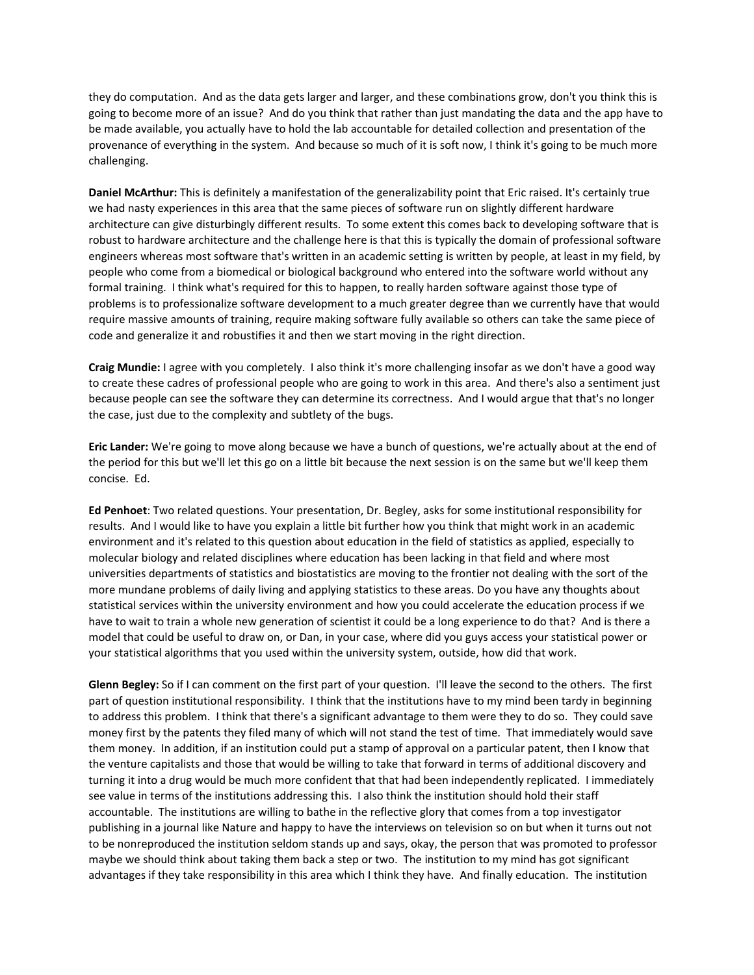they do computation. And as the data gets larger and larger, and these combinations grow, don't you think this is going to become more of an issue? And do you think that rather than just mandating the data and the app have to be made available, you actually have to hold the lab accountable for detailed collection and presentation of the provenance of everything in the system. And because so much of it is soft now, I think it's going to be much more challenging.

**Daniel McArthur:** This is definitely a manifestation of the generalizability point that Eric raised. It's certainly true we had nasty experiences in this area that the same pieces of software run on slightly different hardware architecture can give disturbingly different results. To some extent this comes back to developing software that is robust to hardware architecture and the challenge here is that this is typically the domain of professional software engineers whereas most software that's written in an academic setting is written by people, at least in my field, by people who come from a biomedical or biological background who entered into the software world without any formal training. I think what's required for this to happen, to really harden software against those type of problems is to professionalize software development to a much greater degree than we currently have that would require massive amounts of training, require making software fully available so others can take the same piece of code and generalize it and robustifies it and then we start moving in the right direction.

**Craig Mundie:** I agree with you completely. I also think it's more challenging insofar as we don't have a good way to create these cadres of professional people who are going to work in this area. And there's also a sentiment just because people can see the software they can determine its correctness. And I would argue that that's no longer the case, just due to the complexity and subtlety of the bugs.

**Eric Lander:** We're going to move along because we have a bunch of questions, we're actually about at the end of the period for this but we'll let this go on a little bit because the next session is on the same but we'll keep them concise. Ed.

**Ed Penhoet**: Two related questions. Your presentation, Dr. Begley, asks for some institutional responsibility for results. And I would like to have you explain a little bit further how you think that might work in an academic environment and it's related to this question about education in the field of statistics as applied, especially to molecular biology and related disciplines where education has been lacking in that field and where most universities departments of statistics and biostatistics are moving to the frontier not dealing with the sort of the more mundane problems of daily living and applying statistics to these areas. Do you have any thoughts about statistical services within the university environment and how you could accelerate the education process if we have to wait to train a whole new generation of scientist it could be a long experience to do that? And is there a model that could be useful to draw on, or Dan, in your case, where did you guys access your statistical power or your statistical algorithms that you used within the university system, outside, how did that work.

**Glenn Begley:** So if I can comment on the first part of your question. I'll leave the second to the others. The first part of question institutional responsibility. I think that the institutions have to my mind been tardy in beginning to address this problem. I think that there's a significant advantage to them were they to do so. They could save money first by the patents they filed many of which will not stand the test of time. That immediately would save them money. In addition, if an institution could put a stamp of approval on a particular patent, then I know that the venture capitalists and those that would be willing to take that forward in terms of additional discovery and turning it into a drug would be much more confident that that had been independently replicated. I immediately see value in terms of the institutions addressing this. I also think the institution should hold their staff accountable. The institutions are willing to bathe in the reflective glory that comes from a top investigator publishing in a journal like Nature and happy to have the interviews on television so on but when it turns out not to be nonreproduced the institution seldom stands up and says, okay, the person that was promoted to professor maybe we should think about taking them back a step or two. The institution to my mind has got significant advantages if they take responsibility in this area which I think they have. And finally education. The institution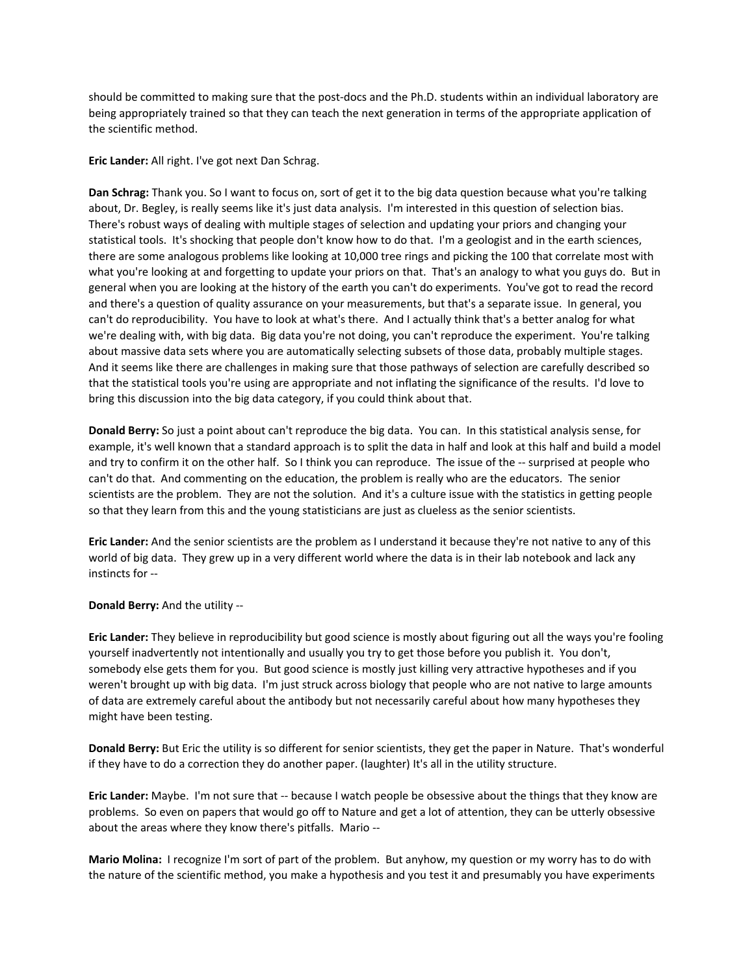should be committed to making sure that the post-docs and the Ph.D. students within an individual laboratory are being appropriately trained so that they can teach the next generation in terms of the appropriate application of the scientific method.

**Eric Lander:** All right. I've got next Dan Schrag.

**Dan Schrag:** Thank you. So I want to focus on, sort of get it to the big data question because what you're talking about, Dr. Begley, is really seems like it's just data analysis. I'm interested in this question of selection bias. There's robust ways of dealing with multiple stages of selection and updating your priors and changing your statistical tools. It's shocking that people don't know how to do that. I'm a geologist and in the earth sciences, there are some analogous problems like looking at 10,000 tree rings and picking the 100 that correlate most with what you're looking at and forgetting to update your priors on that. That's an analogy to what you guys do. But in general when you are looking at the history of the earth you can't do experiments. You've got to read the record and there's a question of quality assurance on your measurements, but that's a separate issue. In general, you can't do reproducibility. You have to look at what's there. And I actually think that's a better analog for what we're dealing with, with big data. Big data you're not doing, you can't reproduce the experiment. You're talking about massive data sets where you are automatically selecting subsets of those data, probably multiple stages. And it seems like there are challenges in making sure that those pathways of selection are carefully described so that the statistical tools you're using are appropriate and not inflating the significance of the results. I'd love to bring this discussion into the big data category, if you could think about that.

**Donald Berry:** So just a point about can't reproduce the big data. You can. In this statistical analysis sense, for example, it's well known that a standard approach is to split the data in half and look at this half and build a model and try to confirm it on the other half. So I think you can reproduce. The issue of the -- surprised at people who can't do that. And commenting on the education, the problem is really who are the educators. The senior scientists are the problem. They are not the solution. And it's a culture issue with the statistics in getting people so that they learn from this and the young statisticians are just as clueless as the senior scientists.

**Eric Lander:** And the senior scientists are the problem as I understand it because they're not native to any of this world of big data. They grew up in a very different world where the data is in their lab notebook and lack any instincts for ‐‐

**Donald Berry:** And the utility ‐‐

**Eric Lander:** They believe in reproducibility but good science is mostly about figuring out all the ways you're fooling yourself inadvertently not intentionally and usually you try to get those before you publish it. You don't, somebody else gets them for you. But good science is mostly just killing very attractive hypotheses and if you weren't brought up with big data. I'm just struck across biology that people who are not native to large amounts of data are extremely careful about the antibody but not necessarily careful about how many hypotheses they might have been testing.

**Donald Berry:** But Eric the utility is so different for senior scientists, they get the paper in Nature. That's wonderful if they have to do a correction they do another paper. (laughter) It's all in the utility structure.

**Eric Lander:** Maybe. I'm not sure that ‐‐ because I watch people be obsessive about the things that they know are problems. So even on papers that would go off to Nature and get a lot of attention, they can be utterly obsessive about the areas where they know there's pitfalls. Mario ‐‐

**Mario Molina:** I recognize I'm sort of part of the problem. But anyhow, my question or my worry has to do with the nature of the scientific method, you make a hypothesis and you test it and presumably you have experiments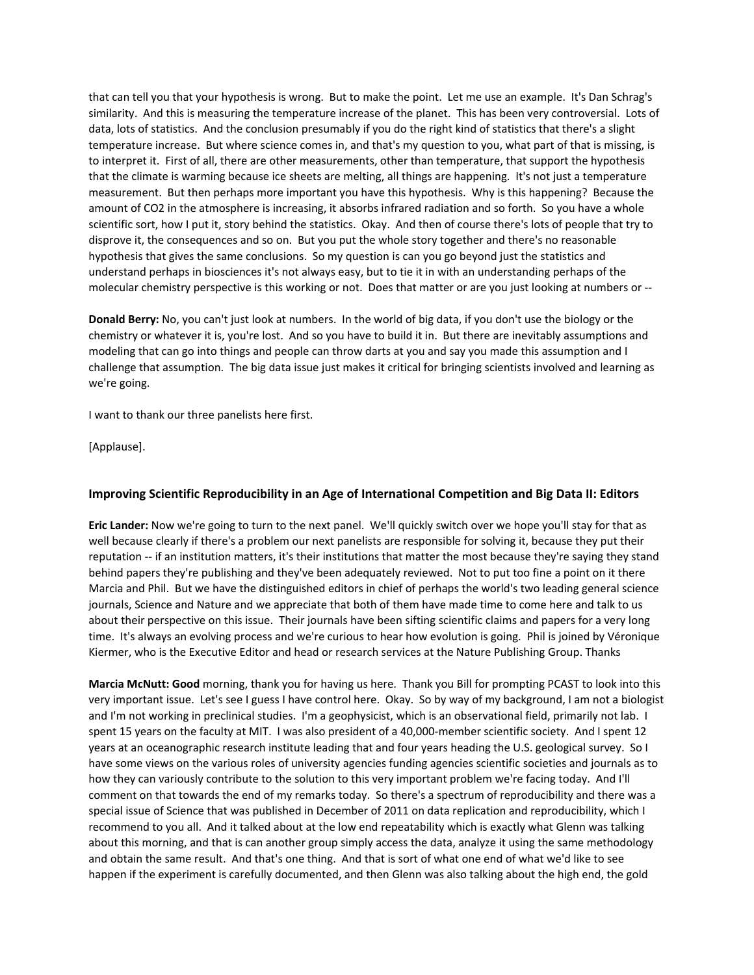that can tell you that your hypothesis is wrong. But to make the point. Let me use an example. It's Dan Schrag's similarity. And this is measuring the temperature increase of the planet. This has been very controversial. Lots of data, lots of statistics. And the conclusion presumably if you do the right kind of statistics that there's a slight temperature increase. But where science comes in, and that's my question to you, what part of that is missing, is to interpret it. First of all, there are other measurements, other than temperature, that support the hypothesis that the climate is warming because ice sheets are melting, all things are happening. It's not just a temperature measurement. But then perhaps more important you have this hypothesis. Why is this happening? Because the amount of CO2 in the atmosphere is increasing, it absorbs infrared radiation and so forth. So you have a whole scientific sort, how I put it, story behind the statistics. Okay. And then of course there's lots of people that try to disprove it, the consequences and so on. But you put the whole story together and there's no reasonable hypothesis that gives the same conclusions. So my question is can you go beyond just the statistics and understand perhaps in biosciences it's not always easy, but to tie it in with an understanding perhaps of the molecular chemistry perspective is this working or not. Does that matter or are you just looking at numbers or ‐‐

**Donald Berry:** No, you can't just look at numbers. In the world of big data, if you don't use the biology or the chemistry or whatever it is, you're lost. And so you have to build it in. But there are inevitably assumptions and modeling that can go into things and people can throw darts at you and say you made this assumption and I challenge that assumption. The big data issue just makes it critical for bringing scientists involved and learning as we're going.

I want to thank our three panelists here first.

[Applause].

# **Improving Scientific Reproducibility in an Age of International Competition and Big Data II: Editors**

**Eric Lander:** Now we're going to turn to the next panel. We'll quickly switch over we hope you'll stay for that as well because clearly if there's a problem our next panelists are responsible for solving it, because they put their reputation ‐‐ if an institution matters, it's their institutions that matter the most because they're saying they stand behind papers they're publishing and they've been adequately reviewed. Not to put too fine a point on it there Marcia and Phil. But we have the distinguished editors in chief of perhaps the world's two leading general science journals, Science and Nature and we appreciate that both of them have made time to come here and talk to us about their perspective on this issue. Their journals have been sifting scientific claims and papers for a very long time. It's always an evolving process and we're curious to hear how evolution is going. Phil is joined by Véronique Kiermer, who is the Executive Editor and head or research services at the Nature Publishing Group. Thanks

**Marcia McNutt: Good** morning, thank you for having us here. Thank you Bill for prompting PCAST to look into this very important issue. Let's see I guess I have control here. Okay. So by way of my background, I am not a biologist and I'm not working in preclinical studies. I'm a geophysicist, which is an observational field, primarily not lab. I spent 15 years on the faculty at MIT. I was also president of a 40,000-member scientific society. And I spent 12 years at an oceanographic research institute leading that and four years heading the U.S. geological survey. So I have some views on the various roles of university agencies funding agencies scientific societies and journals as to how they can variously contribute to the solution to this very important problem we're facing today. And I'll comment on that towards the end of my remarks today. So there's a spectrum of reproducibility and there was a special issue of Science that was published in December of 2011 on data replication and reproducibility, which I recommend to you all. And it talked about at the low end repeatability which is exactly what Glenn was talking about this morning, and that is can another group simply access the data, analyze it using the same methodology and obtain the same result. And that's one thing. And that is sort of what one end of what we'd like to see happen if the experiment is carefully documented, and then Glenn was also talking about the high end, the gold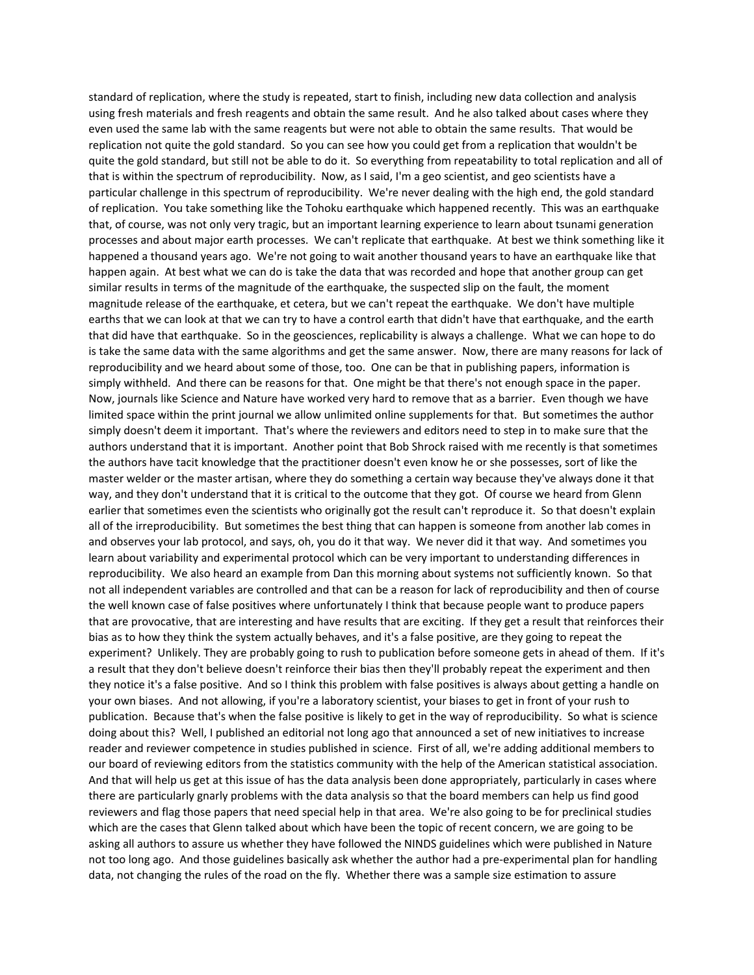standard of replication, where the study is repeated, start to finish, including new data collection and analysis using fresh materials and fresh reagents and obtain the same result. And he also talked about cases where they even used the same lab with the same reagents but were not able to obtain the same results. That would be replication not quite the gold standard. So you can see how you could get from a replication that wouldn't be quite the gold standard, but still not be able to do it. So everything from repeatability to total replication and all of that is within the spectrum of reproducibility. Now, as I said, I'm a geo scientist, and geo scientists have a particular challenge in this spectrum of reproducibility. We're never dealing with the high end, the gold standard of replication. You take something like the Tohoku earthquake which happened recently. This was an earthquake that, of course, was not only very tragic, but an important learning experience to learn about tsunami generation processes and about major earth processes. We can't replicate that earthquake. At best we think something like it happened a thousand years ago. We're not going to wait another thousand years to have an earthquake like that happen again. At best what we can do is take the data that was recorded and hope that another group can get similar results in terms of the magnitude of the earthquake, the suspected slip on the fault, the moment magnitude release of the earthquake, et cetera, but we can't repeat the earthquake. We don't have multiple earths that we can look at that we can try to have a control earth that didn't have that earthquake, and the earth that did have that earthquake. So in the geosciences, replicability is always a challenge. What we can hope to do is take the same data with the same algorithms and get the same answer. Now, there are many reasons for lack of reproducibility and we heard about some of those, too. One can be that in publishing papers, information is simply withheld. And there can be reasons for that. One might be that there's not enough space in the paper. Now, journals like Science and Nature have worked very hard to remove that as a barrier. Even though we have limited space within the print journal we allow unlimited online supplements for that. But sometimes the author simply doesn't deem it important. That's where the reviewers and editors need to step in to make sure that the authors understand that it is important. Another point that Bob Shrock raised with me recently is that sometimes the authors have tacit knowledge that the practitioner doesn't even know he or she possesses, sort of like the master welder or the master artisan, where they do something a certain way because they've always done it that way, and they don't understand that it is critical to the outcome that they got. Of course we heard from Glenn earlier that sometimes even the scientists who originally got the result can't reproduce it. So that doesn't explain all of the irreproducibility. But sometimes the best thing that can happen is someone from another lab comes in and observes your lab protocol, and says, oh, you do it that way. We never did it that way. And sometimes you learn about variability and experimental protocol which can be very important to understanding differences in reproducibility. We also heard an example from Dan this morning about systems not sufficiently known. So that not all independent variables are controlled and that can be a reason for lack of reproducibility and then of course the well known case of false positives where unfortunately I think that because people want to produce papers that are provocative, that are interesting and have results that are exciting. If they get a result that reinforces their bias as to how they think the system actually behaves, and it's a false positive, are they going to repeat the experiment? Unlikely. They are probably going to rush to publication before someone gets in ahead of them. If it's a result that they don't believe doesn't reinforce their bias then they'll probably repeat the experiment and then they notice it's a false positive. And so I think this problem with false positives is always about getting a handle on your own biases. And not allowing, if you're a laboratory scientist, your biases to get in front of your rush to publication. Because that's when the false positive is likely to get in the way of reproducibility. So what is science doing about this? Well, I published an editorial not long ago that announced a set of new initiatives to increase reader and reviewer competence in studies published in science. First of all, we're adding additional members to our board of reviewing editors from the statistics community with the help of the American statistical association. And that will help us get at this issue of has the data analysis been done appropriately, particularly in cases where there are particularly gnarly problems with the data analysis so that the board members can help us find good reviewers and flag those papers that need special help in that area. We're also going to be for preclinical studies which are the cases that Glenn talked about which have been the topic of recent concern, we are going to be asking all authors to assure us whether they have followed the NINDS guidelines which were published in Nature not too long ago. And those guidelines basically ask whether the author had a pre‐experimental plan for handling data, not changing the rules of the road on the fly. Whether there was a sample size estimation to assure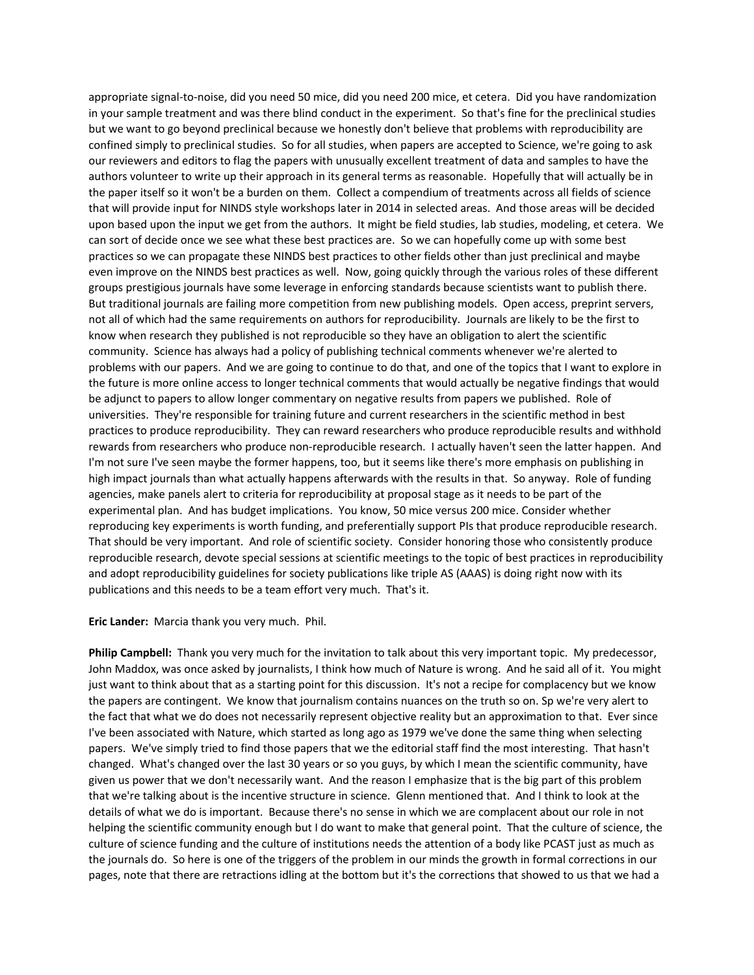appropriate signal‐to‐noise, did you need 50 mice, did you need 200 mice, et cetera. Did you have randomization in your sample treatment and was there blind conduct in the experiment. So that's fine for the preclinical studies but we want to go beyond preclinical because we honestly don't believe that problems with reproducibility are confined simply to preclinical studies. So for all studies, when papers are accepted to Science, we're going to ask our reviewers and editors to flag the papers with unusually excellent treatment of data and samples to have the authors volunteer to write up their approach in its general terms as reasonable. Hopefully that will actually be in the paper itself so it won't be a burden on them. Collect a compendium of treatments across all fields of science that will provide input for NINDS style workshops later in 2014 in selected areas. And those areas will be decided upon based upon the input we get from the authors. It might be field studies, lab studies, modeling, et cetera. We can sort of decide once we see what these best practices are. So we can hopefully come up with some best practices so we can propagate these NINDS best practices to other fields other than just preclinical and maybe even improve on the NINDS best practices as well. Now, going quickly through the various roles of these different groups prestigious journals have some leverage in enforcing standards because scientists want to publish there. But traditional journals are failing more competition from new publishing models. Open access, preprint servers, not all of which had the same requirements on authors for reproducibility. Journals are likely to be the first to know when research they published is not reproducible so they have an obligation to alert the scientific community. Science has always had a policy of publishing technical comments whenever we're alerted to problems with our papers. And we are going to continue to do that, and one of the topics that I want to explore in the future is more online access to longer technical comments that would actually be negative findings that would be adjunct to papers to allow longer commentary on negative results from papers we published. Role of universities. They're responsible for training future and current researchers in the scientific method in best practices to produce reproducibility. They can reward researchers who produce reproducible results and withhold rewards from researchers who produce non-reproducible research. I actually haven't seen the latter happen. And I'm not sure I've seen maybe the former happens, too, but it seems like there's more emphasis on publishing in high impact journals than what actually happens afterwards with the results in that. So anyway. Role of funding agencies, make panels alert to criteria for reproducibility at proposal stage as it needs to be part of the experimental plan. And has budget implications. You know, 50 mice versus 200 mice. Consider whether reproducing key experiments is worth funding, and preferentially support PIs that produce reproducible research. That should be very important. And role of scientific society. Consider honoring those who consistently produce reproducible research, devote special sessions at scientific meetings to the topic of best practices in reproducibility and adopt reproducibility guidelines for society publications like triple AS (AAAS) is doing right now with its publications and this needs to be a team effort very much. That's it.

**Eric Lander:** Marcia thank you very much. Phil.

**Philip Campbell:** Thank you very much for the invitation to talk about this very important topic. My predecessor, John Maddox, was once asked by journalists, I think how much of Nature is wrong. And he said all of it. You might just want to think about that as a starting point for this discussion. It's not a recipe for complacency but we know the papers are contingent. We know that journalism contains nuances on the truth so on. Sp we're very alert to the fact that what we do does not necessarily represent objective reality but an approximation to that. Ever since I've been associated with Nature, which started as long ago as 1979 we've done the same thing when selecting papers. We've simply tried to find those papers that we the editorial staff find the most interesting. That hasn't changed. What's changed over the last 30 years or so you guys, by which I mean the scientific community, have given us power that we don't necessarily want. And the reason I emphasize that is the big part of this problem that we're talking about is the incentive structure in science. Glenn mentioned that. And I think to look at the details of what we do is important. Because there's no sense in which we are complacent about our role in not helping the scientific community enough but I do want to make that general point. That the culture of science, the culture of science funding and the culture of institutions needs the attention of a body like PCAST just as much as the journals do. So here is one of the triggers of the problem in our minds the growth in formal corrections in our pages, note that there are retractions idling at the bottom but it's the corrections that showed to us that we had a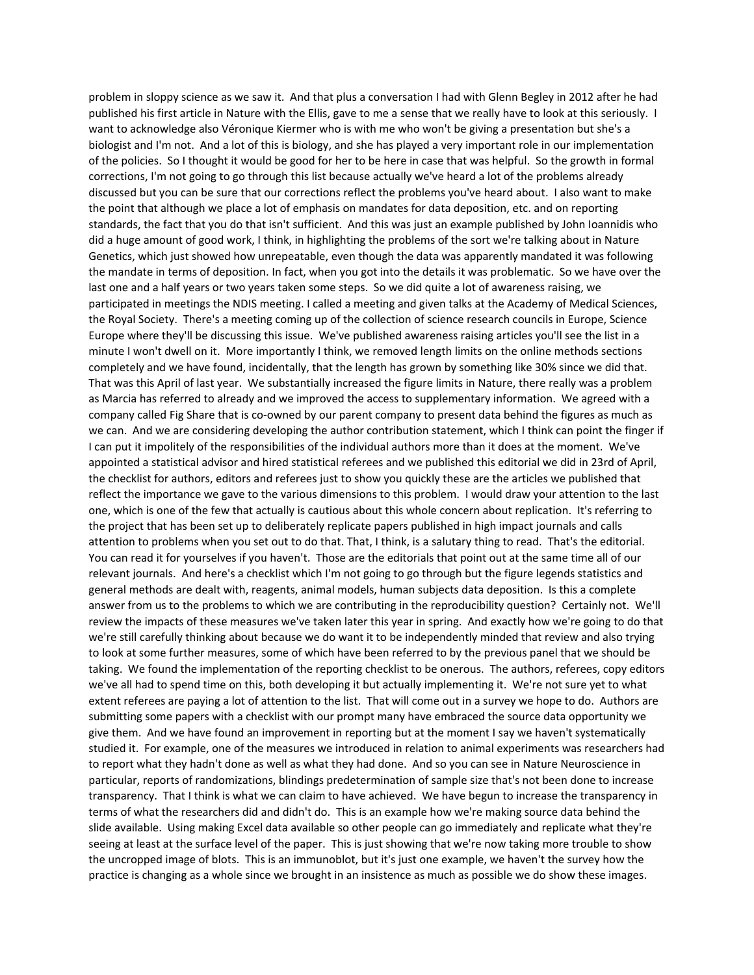problem in sloppy science as we saw it. And that plus a conversation I had with Glenn Begley in 2012 after he had published his first article in Nature with the Ellis, gave to me a sense that we really have to look at this seriously. I want to acknowledge also Véronique Kiermer who is with me who won't be giving a presentation but she's a biologist and I'm not. And a lot of this is biology, and she has played a very important role in our implementation of the policies. So I thought it would be good for her to be here in case that was helpful. So the growth in formal corrections, I'm not going to go through this list because actually we've heard a lot of the problems already discussed but you can be sure that our corrections reflect the problems you've heard about. I also want to make the point that although we place a lot of emphasis on mandates for data deposition, etc. and on reporting standards, the fact that you do that isn't sufficient. And this was just an example published by John Ioannidis who did a huge amount of good work, I think, in highlighting the problems of the sort we're talking about in Nature Genetics, which just showed how unrepeatable, even though the data was apparently mandated it was following the mandate in terms of deposition. In fact, when you got into the details it was problematic. So we have over the last one and a half years or two years taken some steps. So we did quite a lot of awareness raising, we participated in meetings the NDIS meeting. I called a meeting and given talks at the Academy of Medical Sciences, the Royal Society. There's a meeting coming up of the collection of science research councils in Europe, Science Europe where they'll be discussing this issue. We've published awareness raising articles you'll see the list in a minute I won't dwell on it. More importantly I think, we removed length limits on the online methods sections completely and we have found, incidentally, that the length has grown by something like 30% since we did that. That was this April of last year. We substantially increased the figure limits in Nature, there really was a problem as Marcia has referred to already and we improved the access to supplementary information. We agreed with a company called Fig Share that is co‐owned by our parent company to present data behind the figures as much as we can. And we are considering developing the author contribution statement, which I think can point the finger if I can put it impolitely of the responsibilities of the individual authors more than it does at the moment. We've appointed a statistical advisor and hired statistical referees and we published this editorial we did in 23rd of April, the checklist for authors, editors and referees just to show you quickly these are the articles we published that reflect the importance we gave to the various dimensions to this problem. I would draw your attention to the last one, which is one of the few that actually is cautious about this whole concern about replication. It's referring to the project that has been set up to deliberately replicate papers published in high impact journals and calls attention to problems when you set out to do that. That, I think, is a salutary thing to read. That's the editorial. You can read it for yourselves if you haven't. Those are the editorials that point out at the same time all of our relevant journals. And here's a checklist which I'm not going to go through but the figure legends statistics and general methods are dealt with, reagents, animal models, human subjects data deposition. Is this a complete answer from us to the problems to which we are contributing in the reproducibility question? Certainly not. We'll review the impacts of these measures we've taken later this year in spring. And exactly how we're going to do that we're still carefully thinking about because we do want it to be independently minded that review and also trying to look at some further measures, some of which have been referred to by the previous panel that we should be taking. We found the implementation of the reporting checklist to be onerous. The authors, referees, copy editors we've all had to spend time on this, both developing it but actually implementing it. We're not sure yet to what extent referees are paying a lot of attention to the list. That will come out in a survey we hope to do. Authors are submitting some papers with a checklist with our prompt many have embraced the source data opportunity we give them. And we have found an improvement in reporting but at the moment I say we haven't systematically studied it. For example, one of the measures we introduced in relation to animal experiments was researchers had to report what they hadn't done as well as what they had done. And so you can see in Nature Neuroscience in particular, reports of randomizations, blindings predetermination of sample size that's not been done to increase transparency. That I think is what we can claim to have achieved. We have begun to increase the transparency in terms of what the researchers did and didn't do. This is an example how we're making source data behind the slide available. Using making Excel data available so other people can go immediately and replicate what they're seeing at least at the surface level of the paper. This is just showing that we're now taking more trouble to show the uncropped image of blots. This is an immunoblot, but it's just one example, we haven't the survey how the practice is changing as a whole since we brought in an insistence as much as possible we do show these images.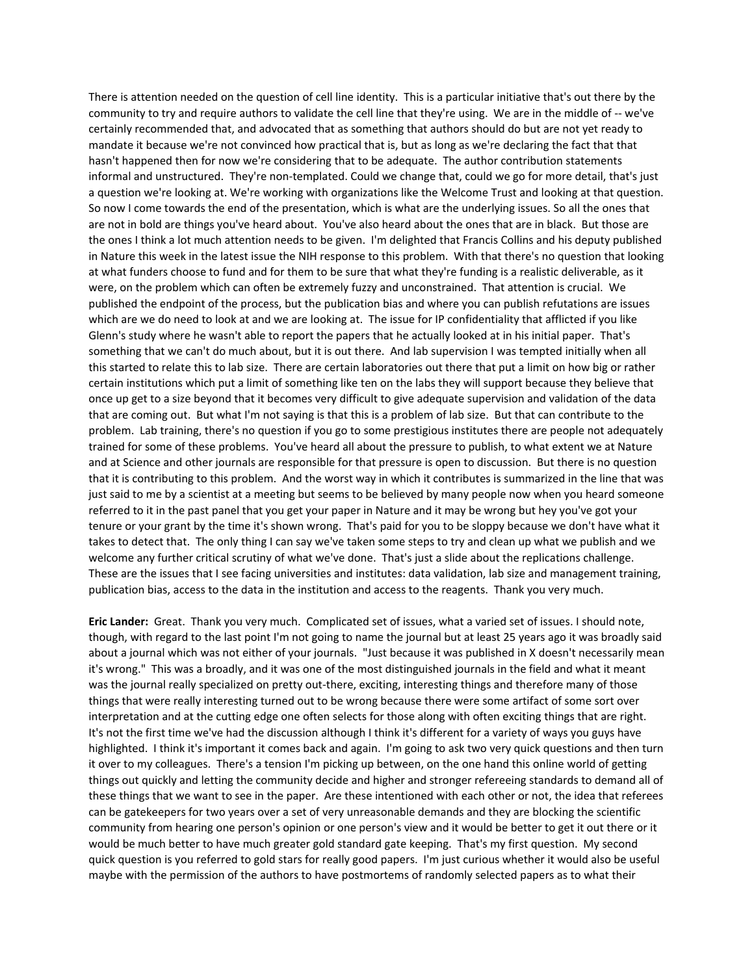There is attention needed on the question of cell line identity. This is a particular initiative that's out there by the community to try and require authors to validate the cell line that they're using. We are in the middle of ‐‐ we've certainly recommended that, and advocated that as something that authors should do but are not yet ready to mandate it because we're not convinced how practical that is, but as long as we're declaring the fact that that hasn't happened then for now we're considering that to be adequate. The author contribution statements informal and unstructured. They're non-templated. Could we change that, could we go for more detail, that's just a question we're looking at. We're working with organizations like the Welcome Trust and looking at that question. So now I come towards the end of the presentation, which is what are the underlying issues. So all the ones that are not in bold are things you've heard about. You've also heard about the ones that are in black. But those are the ones I think a lot much attention needs to be given. I'm delighted that Francis Collins and his deputy published in Nature this week in the latest issue the NIH response to this problem. With that there's no question that looking at what funders choose to fund and for them to be sure that what they're funding is a realistic deliverable, as it were, on the problem which can often be extremely fuzzy and unconstrained. That attention is crucial. We published the endpoint of the process, but the publication bias and where you can publish refutations are issues which are we do need to look at and we are looking at. The issue for IP confidentiality that afflicted if you like Glenn's study where he wasn't able to report the papers that he actually looked at in his initial paper. That's something that we can't do much about, but it is out there. And lab supervision I was tempted initially when all this started to relate this to lab size. There are certain laboratories out there that put a limit on how big or rather certain institutions which put a limit of something like ten on the labs they will support because they believe that once up get to a size beyond that it becomes very difficult to give adequate supervision and validation of the data that are coming out. But what I'm not saying is that this is a problem of lab size. But that can contribute to the problem. Lab training, there's no question if you go to some prestigious institutes there are people not adequately trained for some of these problems. You've heard all about the pressure to publish, to what extent we at Nature and at Science and other journals are responsible for that pressure is open to discussion. But there is no question that it is contributing to this problem. And the worst way in which it contributes is summarized in the line that was just said to me by a scientist at a meeting but seems to be believed by many people now when you heard someone referred to it in the past panel that you get your paper in Nature and it may be wrong but hey you've got your tenure or your grant by the time it's shown wrong. That's paid for you to be sloppy because we don't have what it takes to detect that. The only thing I can say we've taken some steps to try and clean up what we publish and we welcome any further critical scrutiny of what we've done. That's just a slide about the replications challenge. These are the issues that I see facing universities and institutes: data validation, lab size and management training, publication bias, access to the data in the institution and access to the reagents. Thank you very much.

**Eric Lander:** Great. Thank you very much. Complicated set of issues, what a varied set of issues. I should note, though, with regard to the last point I'm not going to name the journal but at least 25 years ago it was broadly said about a journal which was not either of your journals. "Just because it was published in X doesn't necessarily mean it's wrong." This was a broadly, and it was one of the most distinguished journals in the field and what it meant was the journal really specialized on pretty out-there, exciting, interesting things and therefore many of those things that were really interesting turned out to be wrong because there were some artifact of some sort over interpretation and at the cutting edge one often selects for those along with often exciting things that are right. It's not the first time we've had the discussion although I think it's different for a variety of ways you guys have highlighted. I think it's important it comes back and again. I'm going to ask two very quick questions and then turn it over to my colleagues. There's a tension I'm picking up between, on the one hand this online world of getting things out quickly and letting the community decide and higher and stronger refereeing standards to demand all of these things that we want to see in the paper. Are these intentioned with each other or not, the idea that referees can be gatekeepers for two years over a set of very unreasonable demands and they are blocking the scientific community from hearing one person's opinion or one person's view and it would be better to get it out there or it would be much better to have much greater gold standard gate keeping. That's my first question. My second quick question is you referred to gold stars for really good papers. I'm just curious whether it would also be useful maybe with the permission of the authors to have postmortems of randomly selected papers as to what their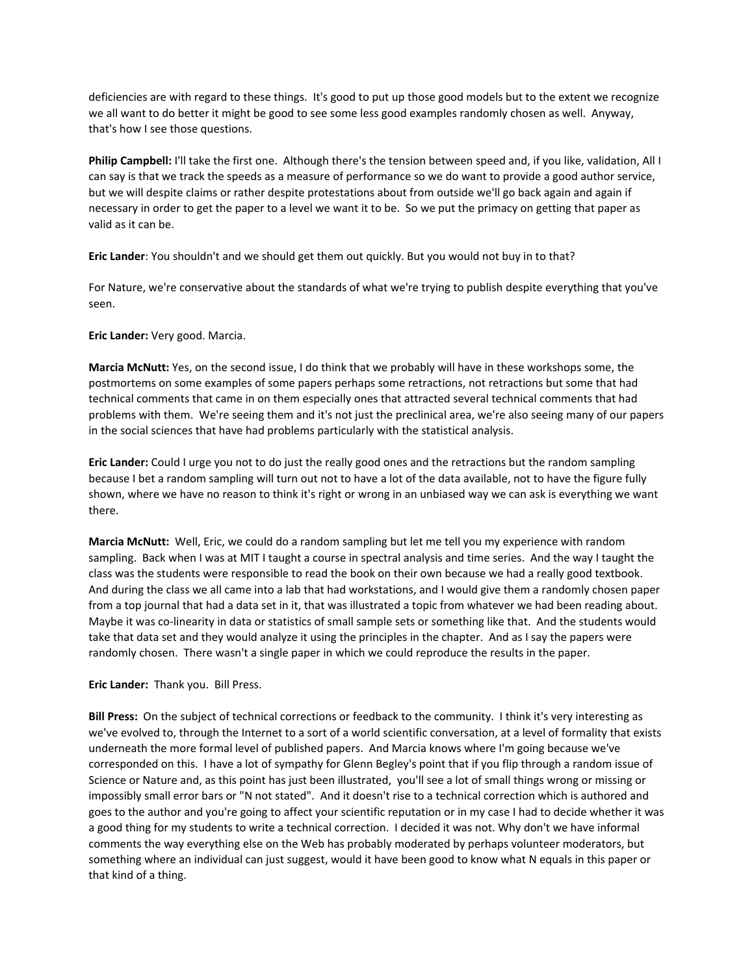deficiencies are with regard to these things. It's good to put up those good models but to the extent we recognize we all want to do better it might be good to see some less good examples randomly chosen as well. Anyway, that's how I see those questions.

**Philip Campbell:** I'll take the first one. Although there's the tension between speed and, if you like, validation, All I can say is that we track the speeds as a measure of performance so we do want to provide a good author service, but we will despite claims or rather despite protestations about from outside we'll go back again and again if necessary in order to get the paper to a level we want it to be. So we put the primacy on getting that paper as valid as it can be.

**Eric Lander**: You shouldn't and we should get them out quickly. But you would not buy in to that?

For Nature, we're conservative about the standards of what we're trying to publish despite everything that you've seen.

### **Eric Lander:** Very good. Marcia.

**Marcia McNutt:** Yes, on the second issue, I do think that we probably will have in these workshops some, the postmortems on some examples of some papers perhaps some retractions, not retractions but some that had technical comments that came in on them especially ones that attracted several technical comments that had problems with them. We're seeing them and it's not just the preclinical area, we're also seeing many of our papers in the social sciences that have had problems particularly with the statistical analysis.

**Eric Lander:** Could I urge you not to do just the really good ones and the retractions but the random sampling because I bet a random sampling will turn out not to have a lot of the data available, not to have the figure fully shown, where we have no reason to think it's right or wrong in an unbiased way we can ask is everything we want there.

**Marcia McNutt:** Well, Eric, we could do a random sampling but let me tell you my experience with random sampling. Back when I was at MIT I taught a course in spectral analysis and time series. And the way I taught the class was the students were responsible to read the book on their own because we had a really good textbook. And during the class we all came into a lab that had workstations, and I would give them a randomly chosen paper from a top journal that had a data set in it, that was illustrated a topic from whatever we had been reading about. Maybe it was co‐linearity in data or statistics of small sample sets or something like that. And the students would take that data set and they would analyze it using the principles in the chapter. And as I say the papers were randomly chosen. There wasn't a single paper in which we could reproduce the results in the paper.

#### **Eric Lander:** Thank you. Bill Press.

**Bill Press:** On the subject of technical corrections or feedback to the community. I think it's very interesting as we've evolved to, through the Internet to a sort of a world scientific conversation, at a level of formality that exists underneath the more formal level of published papers. And Marcia knows where I'm going because we've corresponded on this. I have a lot of sympathy for Glenn Begley's point that if you flip through a random issue of Science or Nature and, as this point has just been illustrated, you'll see a lot of small things wrong or missing or impossibly small error bars or "N not stated". And it doesn't rise to a technical correction which is authored and goes to the author and you're going to affect your scientific reputation or in my case I had to decide whether it was a good thing for my students to write a technical correction. I decided it was not. Why don't we have informal comments the way everything else on the Web has probably moderated by perhaps volunteer moderators, but something where an individual can just suggest, would it have been good to know what N equals in this paper or that kind of a thing.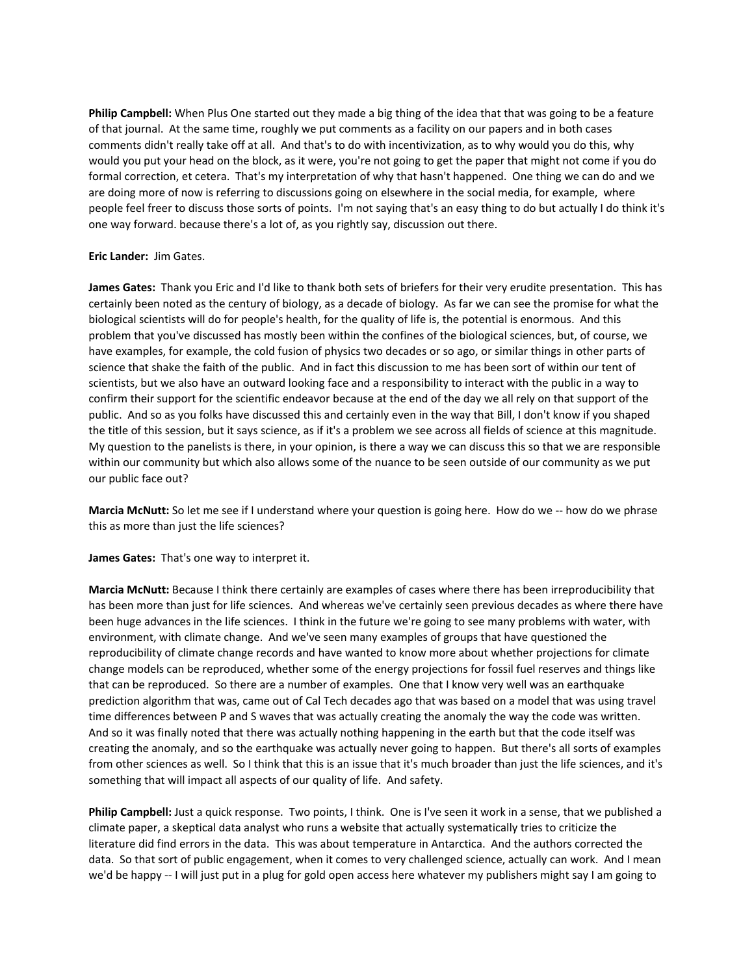**Philip Campbell:** When Plus One started out they made a big thing of the idea that that was going to be a feature of that journal. At the same time, roughly we put comments as a facility on our papers and in both cases comments didn't really take off at all. And that's to do with incentivization, as to why would you do this, why would you put your head on the block, as it were, you're not going to get the paper that might not come if you do formal correction, et cetera. That's my interpretation of why that hasn't happened. One thing we can do and we are doing more of now is referring to discussions going on elsewhere in the social media, for example, where people feel freer to discuss those sorts of points. I'm not saying that's an easy thing to do but actually I do think it's one way forward. because there's a lot of, as you rightly say, discussion out there.

# **Eric Lander:** Jim Gates.

**James Gates:** Thank you Eric and I'd like to thank both sets of briefers for their very erudite presentation. This has certainly been noted as the century of biology, as a decade of biology. As far we can see the promise for what the biological scientists will do for people's health, for the quality of life is, the potential is enormous. And this problem that you've discussed has mostly been within the confines of the biological sciences, but, of course, we have examples, for example, the cold fusion of physics two decades or so ago, or similar things in other parts of science that shake the faith of the public. And in fact this discussion to me has been sort of within our tent of scientists, but we also have an outward looking face and a responsibility to interact with the public in a way to confirm their support for the scientific endeavor because at the end of the day we all rely on that support of the public. And so as you folks have discussed this and certainly even in the way that Bill, I don't know if you shaped the title of this session, but it says science, as if it's a problem we see across all fields of science at this magnitude. My question to the panelists is there, in your opinion, is there a way we can discuss this so that we are responsible within our community but which also allows some of the nuance to be seen outside of our community as we put our public face out?

**Marcia McNutt:** So let me see if I understand where your question is going here. How do we -- how do we phrase this as more than just the life sciences?

**James Gates:** That's one way to interpret it.

**Marcia McNutt:** Because I think there certainly are examples of cases where there has been irreproducibility that has been more than just for life sciences. And whereas we've certainly seen previous decades as where there have been huge advances in the life sciences. I think in the future we're going to see many problems with water, with environment, with climate change. And we've seen many examples of groups that have questioned the reproducibility of climate change records and have wanted to know more about whether projections for climate change models can be reproduced, whether some of the energy projections for fossil fuel reserves and things like that can be reproduced. So there are a number of examples. One that I know very well was an earthquake prediction algorithm that was, came out of Cal Tech decades ago that was based on a model that was using travel time differences between P and S waves that was actually creating the anomaly the way the code was written. And so it was finally noted that there was actually nothing happening in the earth but that the code itself was creating the anomaly, and so the earthquake was actually never going to happen. But there's all sorts of examples from other sciences as well. So I think that this is an issue that it's much broader than just the life sciences, and it's something that will impact all aspects of our quality of life. And safety.

**Philip Campbell:** Just a quick response. Two points, I think. One is I've seen it work in a sense, that we published a climate paper, a skeptical data analyst who runs a website that actually systematically tries to criticize the literature did find errors in the data. This was about temperature in Antarctica. And the authors corrected the data. So that sort of public engagement, when it comes to very challenged science, actually can work. And I mean we'd be happy -- I will just put in a plug for gold open access here whatever my publishers might say I am going to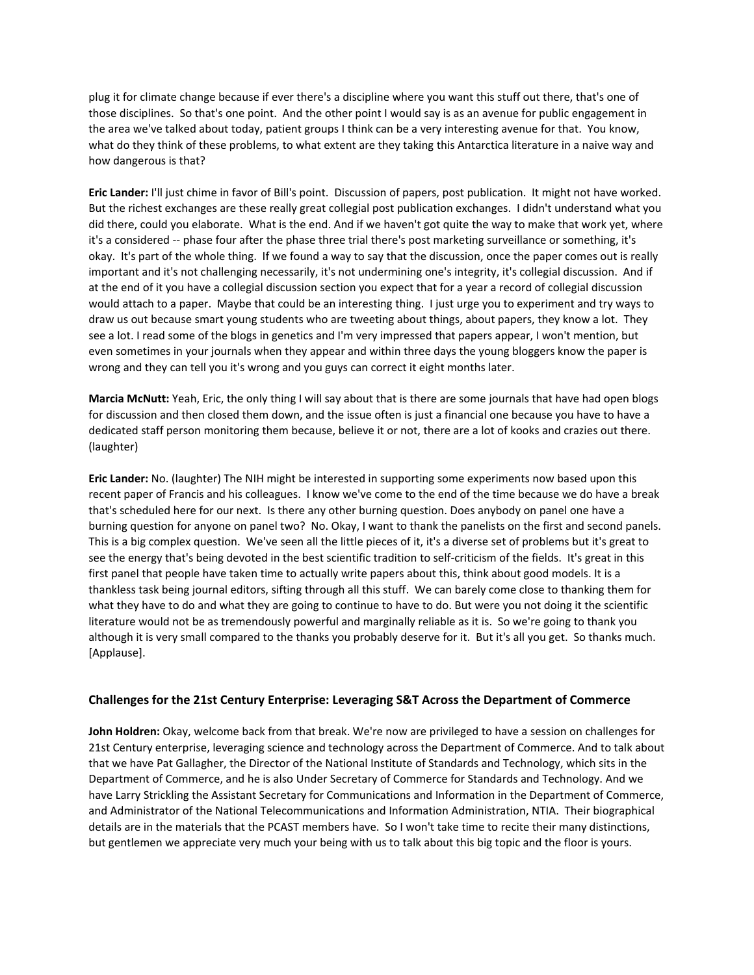plug it for climate change because if ever there's a discipline where you want this stuff out there, that's one of those disciplines. So that's one point. And the other point I would say is as an avenue for public engagement in the area we've talked about today, patient groups I think can be a very interesting avenue for that. You know, what do they think of these problems, to what extent are they taking this Antarctica literature in a naive way and how dangerous is that?

**Eric Lander:** I'll just chime in favor of Bill's point. Discussion of papers, post publication. It might not have worked. But the richest exchanges are these really great collegial post publication exchanges. I didn't understand what you did there, could you elaborate. What is the end. And if we haven't got quite the way to make that work yet, where it's a considered ‐‐ phase four after the phase three trial there's post marketing surveillance or something, it's okay. It's part of the whole thing. If we found a way to say that the discussion, once the paper comes out is really important and it's not challenging necessarily, it's not undermining one's integrity, it's collegial discussion. And if at the end of it you have a collegial discussion section you expect that for a year a record of collegial discussion would attach to a paper. Maybe that could be an interesting thing. I just urge you to experiment and try ways to draw us out because smart young students who are tweeting about things, about papers, they know a lot. They see a lot. I read some of the blogs in genetics and I'm very impressed that papers appear, I won't mention, but even sometimes in your journals when they appear and within three days the young bloggers know the paper is wrong and they can tell you it's wrong and you guys can correct it eight months later.

**Marcia McNutt:** Yeah, Eric, the only thing I will say about that is there are some journals that have had open blogs for discussion and then closed them down, and the issue often is just a financial one because you have to have a dedicated staff person monitoring them because, believe it or not, there are a lot of kooks and crazies out there. (laughter)

**Eric Lander:** No. (laughter) The NIH might be interested in supporting some experiments now based upon this recent paper of Francis and his colleagues. I know we've come to the end of the time because we do have a break that's scheduled here for our next. Is there any other burning question. Does anybody on panel one have a burning question for anyone on panel two? No. Okay, I want to thank the panelists on the first and second panels. This is a big complex question. We've seen all the little pieces of it, it's a diverse set of problems but it's great to see the energy that's being devoted in the best scientific tradition to self‐criticism of the fields. It's great in this first panel that people have taken time to actually write papers about this, think about good models. It is a thankless task being journal editors, sifting through all this stuff. We can barely come close to thanking them for what they have to do and what they are going to continue to have to do. But were you not doing it the scientific literature would not be as tremendously powerful and marginally reliable as it is. So we're going to thank you although it is very small compared to the thanks you probably deserve for it. But it's all you get. So thanks much. [Applause].

## **Challenges for the 21st Century Enterprise: Leveraging S&T Across the Department of Commerce**

**John Holdren:** Okay, welcome back from that break. We're now are privileged to have a session on challenges for 21st Century enterprise, leveraging science and technology across the Department of Commerce. And to talk about that we have Pat Gallagher, the Director of the National Institute of Standards and Technology, which sits in the Department of Commerce, and he is also Under Secretary of Commerce for Standards and Technology. And we have Larry Strickling the Assistant Secretary for Communications and Information in the Department of Commerce, and Administrator of the National Telecommunications and Information Administration, NTIA. Their biographical details are in the materials that the PCAST members have. So I won't take time to recite their many distinctions, but gentlemen we appreciate very much your being with us to talk about this big topic and the floor is yours.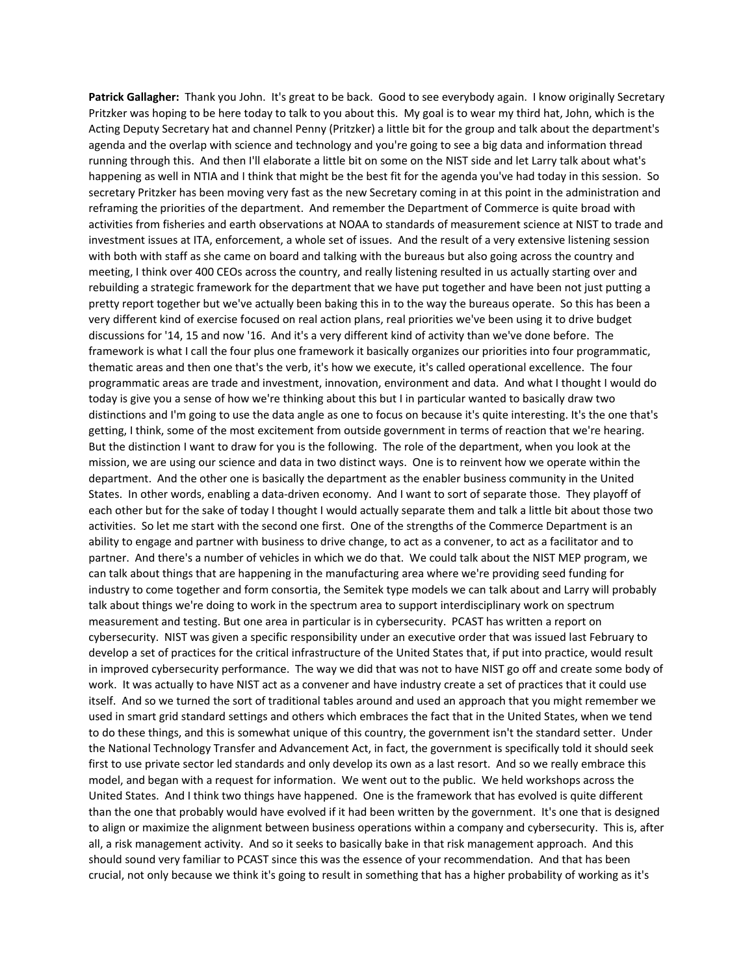**Patrick Gallagher:** Thank you John. It's great to be back. Good to see everybody again. I know originally Secretary Pritzker was hoping to be here today to talk to you about this. My goal is to wear my third hat, John, which is the Acting Deputy Secretary hat and channel Penny (Pritzker) a little bit for the group and talk about the department's agenda and the overlap with science and technology and you're going to see a big data and information thread running through this. And then I'll elaborate a little bit on some on the NIST side and let Larry talk about what's happening as well in NTIA and I think that might be the best fit for the agenda you've had today in this session. So secretary Pritzker has been moving very fast as the new Secretary coming in at this point in the administration and reframing the priorities of the department. And remember the Department of Commerce is quite broad with activities from fisheries and earth observations at NOAA to standards of measurement science at NIST to trade and investment issues at ITA, enforcement, a whole set of issues. And the result of a very extensive listening session with both with staff as she came on board and talking with the bureaus but also going across the country and meeting, I think over 400 CEOs across the country, and really listening resulted in us actually starting over and rebuilding a strategic framework for the department that we have put together and have been not just putting a pretty report together but we've actually been baking this in to the way the bureaus operate. So this has been a very different kind of exercise focused on real action plans, real priorities we've been using it to drive budget discussions for '14, 15 and now '16. And it's a very different kind of activity than we've done before. The framework is what I call the four plus one framework it basically organizes our priorities into four programmatic, thematic areas and then one that's the verb, it's how we execute, it's called operational excellence. The four programmatic areas are trade and investment, innovation, environment and data. And what I thought I would do today is give you a sense of how we're thinking about this but I in particular wanted to basically draw two distinctions and I'm going to use the data angle as one to focus on because it's quite interesting. It's the one that's getting, I think, some of the most excitement from outside government in terms of reaction that we're hearing. But the distinction I want to draw for you is the following. The role of the department, when you look at the mission, we are using our science and data in two distinct ways. One is to reinvent how we operate within the department. And the other one is basically the department as the enabler business community in the United States. In other words, enabling a data‐driven economy. And I want to sort of separate those. They playoff of each other but for the sake of today I thought I would actually separate them and talk a little bit about those two activities. So let me start with the second one first. One of the strengths of the Commerce Department is an ability to engage and partner with business to drive change, to act as a convener, to act as a facilitator and to partner. And there's a number of vehicles in which we do that. We could talk about the NIST MEP program, we can talk about things that are happening in the manufacturing area where we're providing seed funding for industry to come together and form consortia, the Semitek type models we can talk about and Larry will probably talk about things we're doing to work in the spectrum area to support interdisciplinary work on spectrum measurement and testing. But one area in particular is in cybersecurity. PCAST has written a report on cybersecurity. NIST was given a specific responsibility under an executive order that was issued last February to develop a set of practices for the critical infrastructure of the United States that, if put into practice, would result in improved cybersecurity performance. The way we did that was not to have NIST go off and create some body of work. It was actually to have NIST act as a convener and have industry create a set of practices that it could use itself. And so we turned the sort of traditional tables around and used an approach that you might remember we used in smart grid standard settings and others which embraces the fact that in the United States, when we tend to do these things, and this is somewhat unique of this country, the government isn't the standard setter. Under the National Technology Transfer and Advancement Act, in fact, the government is specifically told it should seek first to use private sector led standards and only develop its own as a last resort. And so we really embrace this model, and began with a request for information. We went out to the public. We held workshops across the United States. And I think two things have happened. One is the framework that has evolved is quite different than the one that probably would have evolved if it had been written by the government. It's one that is designed to align or maximize the alignment between business operations within a company and cybersecurity. This is, after all, a risk management activity. And so it seeks to basically bake in that risk management approach. And this should sound very familiar to PCAST since this was the essence of your recommendation. And that has been crucial, not only because we think it's going to result in something that has a higher probability of working as it's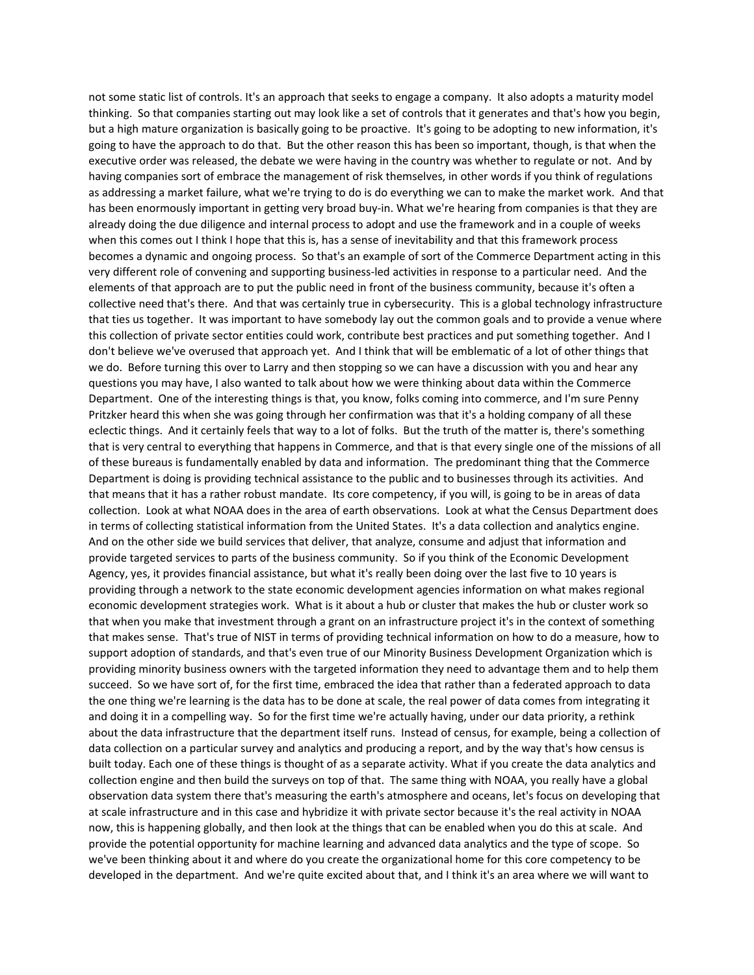not some static list of controls. It's an approach that seeks to engage a company. It also adopts a maturity model thinking. So that companies starting out may look like a set of controls that it generates and that's how you begin, but a high mature organization is basically going to be proactive. It's going to be adopting to new information, it's going to have the approach to do that. But the other reason this has been so important, though, is that when the executive order was released, the debate we were having in the country was whether to regulate or not. And by having companies sort of embrace the management of risk themselves, in other words if you think of regulations as addressing a market failure, what we're trying to do is do everything we can to make the market work. And that has been enormously important in getting very broad buy-in. What we're hearing from companies is that they are already doing the due diligence and internal process to adopt and use the framework and in a couple of weeks when this comes out I think I hope that this is, has a sense of inevitability and that this framework process becomes a dynamic and ongoing process. So that's an example of sort of the Commerce Department acting in this very different role of convening and supporting business‐led activities in response to a particular need. And the elements of that approach are to put the public need in front of the business community, because it's often a collective need that's there. And that was certainly true in cybersecurity. This is a global technology infrastructure that ties us together. It was important to have somebody lay out the common goals and to provide a venue where this collection of private sector entities could work, contribute best practices and put something together. And I don't believe we've overused that approach yet. And I think that will be emblematic of a lot of other things that we do. Before turning this over to Larry and then stopping so we can have a discussion with you and hear any questions you may have, I also wanted to talk about how we were thinking about data within the Commerce Department. One of the interesting things is that, you know, folks coming into commerce, and I'm sure Penny Pritzker heard this when she was going through her confirmation was that it's a holding company of all these eclectic things. And it certainly feels that way to a lot of folks. But the truth of the matter is, there's something that is very central to everything that happens in Commerce, and that is that every single one of the missions of all of these bureaus is fundamentally enabled by data and information. The predominant thing that the Commerce Department is doing is providing technical assistance to the public and to businesses through its activities. And that means that it has a rather robust mandate. Its core competency, if you will, is going to be in areas of data collection. Look at what NOAA does in the area of earth observations. Look at what the Census Department does in terms of collecting statistical information from the United States. It's a data collection and analytics engine. And on the other side we build services that deliver, that analyze, consume and adjust that information and provide targeted services to parts of the business community. So if you think of the Economic Development Agency, yes, it provides financial assistance, but what it's really been doing over the last five to 10 years is providing through a network to the state economic development agencies information on what makes regional economic development strategies work. What is it about a hub or cluster that makes the hub or cluster work so that when you make that investment through a grant on an infrastructure project it's in the context of something that makes sense. That's true of NIST in terms of providing technical information on how to do a measure, how to support adoption of standards, and that's even true of our Minority Business Development Organization which is providing minority business owners with the targeted information they need to advantage them and to help them succeed. So we have sort of, for the first time, embraced the idea that rather than a federated approach to data the one thing we're learning is the data has to be done at scale, the real power of data comes from integrating it and doing it in a compelling way. So for the first time we're actually having, under our data priority, a rethink about the data infrastructure that the department itself runs. Instead of census, for example, being a collection of data collection on a particular survey and analytics and producing a report, and by the way that's how census is built today. Each one of these things is thought of as a separate activity. What if you create the data analytics and collection engine and then build the surveys on top of that. The same thing with NOAA, you really have a global observation data system there that's measuring the earth's atmosphere and oceans, let's focus on developing that at scale infrastructure and in this case and hybridize it with private sector because it's the real activity in NOAA now, this is happening globally, and then look at the things that can be enabled when you do this at scale. And provide the potential opportunity for machine learning and advanced data analytics and the type of scope. So we've been thinking about it and where do you create the organizational home for this core competency to be developed in the department. And we're quite excited about that, and I think it's an area where we will want to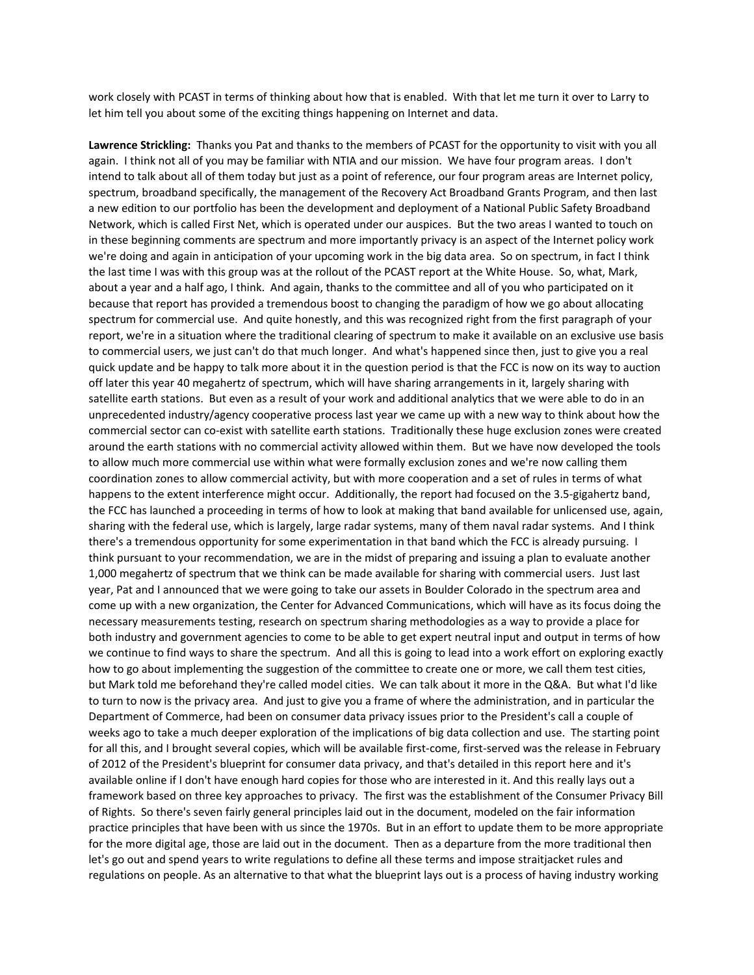work closely with PCAST in terms of thinking about how that is enabled. With that let me turn it over to Larry to let him tell you about some of the exciting things happening on Internet and data.

**Lawrence Strickling:** Thanks you Pat and thanks to the members of PCAST for the opportunity to visit with you all again. I think not all of you may be familiar with NTIA and our mission. We have four program areas. I don't intend to talk about all of them today but just as a point of reference, our four program areas are Internet policy, spectrum, broadband specifically, the management of the Recovery Act Broadband Grants Program, and then last a new edition to our portfolio has been the development and deployment of a National Public Safety Broadband Network, which is called First Net, which is operated under our auspices. But the two areas I wanted to touch on in these beginning comments are spectrum and more importantly privacy is an aspect of the Internet policy work we're doing and again in anticipation of your upcoming work in the big data area. So on spectrum, in fact I think the last time I was with this group was at the rollout of the PCAST report at the White House. So, what, Mark, about a year and a half ago, I think. And again, thanks to the committee and all of you who participated on it because that report has provided a tremendous boost to changing the paradigm of how we go about allocating spectrum for commercial use. And quite honestly, and this was recognized right from the first paragraph of your report, we're in a situation where the traditional clearing of spectrum to make it available on an exclusive use basis to commercial users, we just can't do that much longer. And what's happened since then, just to give you a real quick update and be happy to talk more about it in the question period is that the FCC is now on its way to auction off later this year 40 megahertz of spectrum, which will have sharing arrangements in it, largely sharing with satellite earth stations. But even as a result of your work and additional analytics that we were able to do in an unprecedented industry/agency cooperative process last year we came up with a new way to think about how the commercial sector can co-exist with satellite earth stations. Traditionally these huge exclusion zones were created around the earth stations with no commercial activity allowed within them. But we have now developed the tools to allow much more commercial use within what were formally exclusion zones and we're now calling them coordination zones to allow commercial activity, but with more cooperation and a set of rules in terms of what happens to the extent interference might occur. Additionally, the report had focused on the 3.5-gigahertz band, the FCC has launched a proceeding in terms of how to look at making that band available for unlicensed use, again, sharing with the federal use, which is largely, large radar systems, many of them naval radar systems. And I think there's a tremendous opportunity for some experimentation in that band which the FCC is already pursuing. I think pursuant to your recommendation, we are in the midst of preparing and issuing a plan to evaluate another 1,000 megahertz of spectrum that we think can be made available for sharing with commercial users. Just last year, Pat and I announced that we were going to take our assets in Boulder Colorado in the spectrum area and come up with a new organization, the Center for Advanced Communications, which will have as its focus doing the necessary measurements testing, research on spectrum sharing methodologies as a way to provide a place for both industry and government agencies to come to be able to get expert neutral input and output in terms of how we continue to find ways to share the spectrum. And all this is going to lead into a work effort on exploring exactly how to go about implementing the suggestion of the committee to create one or more, we call them test cities, but Mark told me beforehand they're called model cities. We can talk about it more in the Q&A. But what I'd like to turn to now is the privacy area. And just to give you a frame of where the administration, and in particular the Department of Commerce, had been on consumer data privacy issues prior to the President's call a couple of weeks ago to take a much deeper exploration of the implications of big data collection and use. The starting point for all this, and I brought several copies, which will be available first-come, first-served was the release in February of 2012 of the President's blueprint for consumer data privacy, and that's detailed in this report here and it's available online if I don't have enough hard copies for those who are interested in it. And this really lays out a framework based on three key approaches to privacy. The first was the establishment of the Consumer Privacy Bill of Rights. So there's seven fairly general principles laid out in the document, modeled on the fair information practice principles that have been with us since the 1970s. But in an effort to update them to be more appropriate for the more digital age, those are laid out in the document. Then as a departure from the more traditional then let's go out and spend years to write regulations to define all these terms and impose straitjacket rules and regulations on people. As an alternative to that what the blueprint lays out is a process of having industry working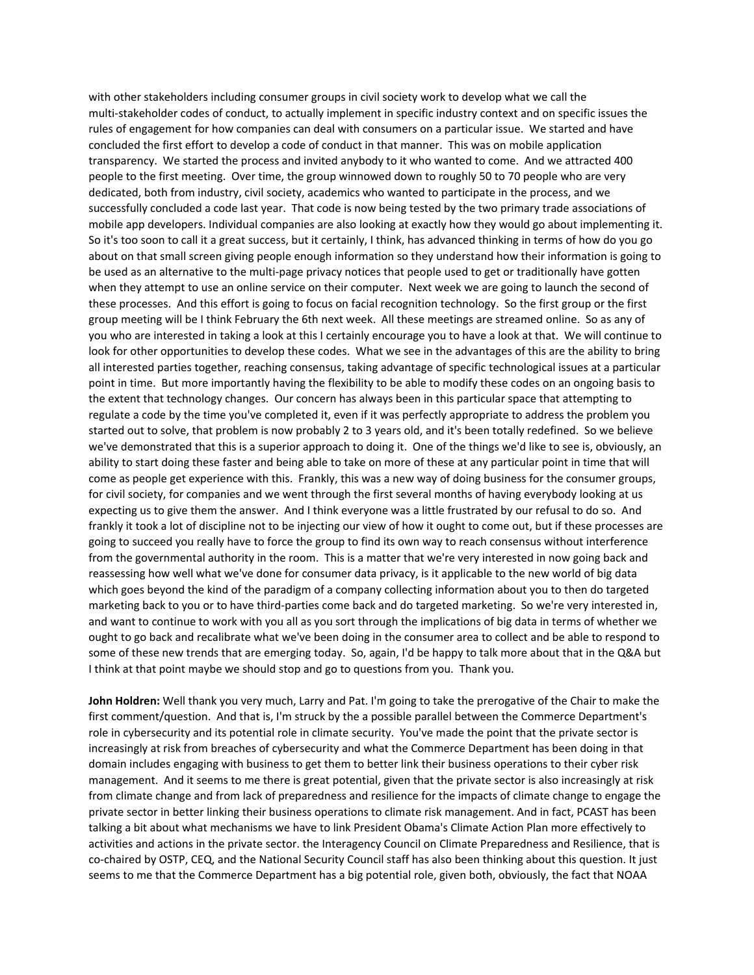with other stakeholders including consumer groups in civil society work to develop what we call the multi-stakeholder codes of conduct, to actually implement in specific industry context and on specific issues the rules of engagement for how companies can deal with consumers on a particular issue. We started and have concluded the first effort to develop a code of conduct in that manner. This was on mobile application transparency. We started the process and invited anybody to it who wanted to come. And we attracted 400 people to the first meeting. Over time, the group winnowed down to roughly 50 to 70 people who are very dedicated, both from industry, civil society, academics who wanted to participate in the process, and we successfully concluded a code last year. That code is now being tested by the two primary trade associations of mobile app developers. Individual companies are also looking at exactly how they would go about implementing it. So it's too soon to call it a great success, but it certainly, I think, has advanced thinking in terms of how do you go about on that small screen giving people enough information so they understand how their information is going to be used as an alternative to the multi‐page privacy notices that people used to get or traditionally have gotten when they attempt to use an online service on their computer. Next week we are going to launch the second of these processes. And this effort is going to focus on facial recognition technology. So the first group or the first group meeting will be I think February the 6th next week. All these meetings are streamed online. So as any of you who are interested in taking a look at this I certainly encourage you to have a look at that. We will continue to look for other opportunities to develop these codes. What we see in the advantages of this are the ability to bring all interested parties together, reaching consensus, taking advantage of specific technological issues at a particular point in time. But more importantly having the flexibility to be able to modify these codes on an ongoing basis to the extent that technology changes. Our concern has always been in this particular space that attempting to regulate a code by the time you've completed it, even if it was perfectly appropriate to address the problem you started out to solve, that problem is now probably 2 to 3 years old, and it's been totally redefined. So we believe we've demonstrated that this is a superior approach to doing it. One of the things we'd like to see is, obviously, an ability to start doing these faster and being able to take on more of these at any particular point in time that will come as people get experience with this. Frankly, this was a new way of doing business for the consumer groups, for civil society, for companies and we went through the first several months of having everybody looking at us expecting us to give them the answer. And I think everyone was a little frustrated by our refusal to do so. And frankly it took a lot of discipline not to be injecting our view of how it ought to come out, but if these processes are going to succeed you really have to force the group to find its own way to reach consensus without interference from the governmental authority in the room. This is a matter that we're very interested in now going back and reassessing how well what we've done for consumer data privacy, is it applicable to the new world of big data which goes beyond the kind of the paradigm of a company collecting information about you to then do targeted marketing back to you or to have third‐parties come back and do targeted marketing. So we're very interested in, and want to continue to work with you all as you sort through the implications of big data in terms of whether we ought to go back and recalibrate what we've been doing in the consumer area to collect and be able to respond to some of these new trends that are emerging today. So, again, I'd be happy to talk more about that in the Q&A but I think at that point maybe we should stop and go to questions from you. Thank you.

**John Holdren:** Well thank you very much, Larry and Pat. I'm going to take the prerogative of the Chair to make the first comment/question. And that is, I'm struck by the a possible parallel between the Commerce Department's role in cybersecurity and its potential role in climate security. You've made the point that the private sector is increasingly at risk from breaches of cybersecurity and what the Commerce Department has been doing in that domain includes engaging with business to get them to better link their business operations to their cyber risk management. And it seems to me there is great potential, given that the private sector is also increasingly at risk from climate change and from lack of preparedness and resilience for the impacts of climate change to engage the private sector in better linking their business operations to climate risk management. And in fact, PCAST has been talking a bit about what mechanisms we have to link President Obama's Climate Action Plan more effectively to activities and actions in the private sector. the Interagency Council on Climate Preparedness and Resilience, that is co-chaired by OSTP, CEQ, and the National Security Council staff has also been thinking about this question. It just seems to me that the Commerce Department has a big potential role, given both, obviously, the fact that NOAA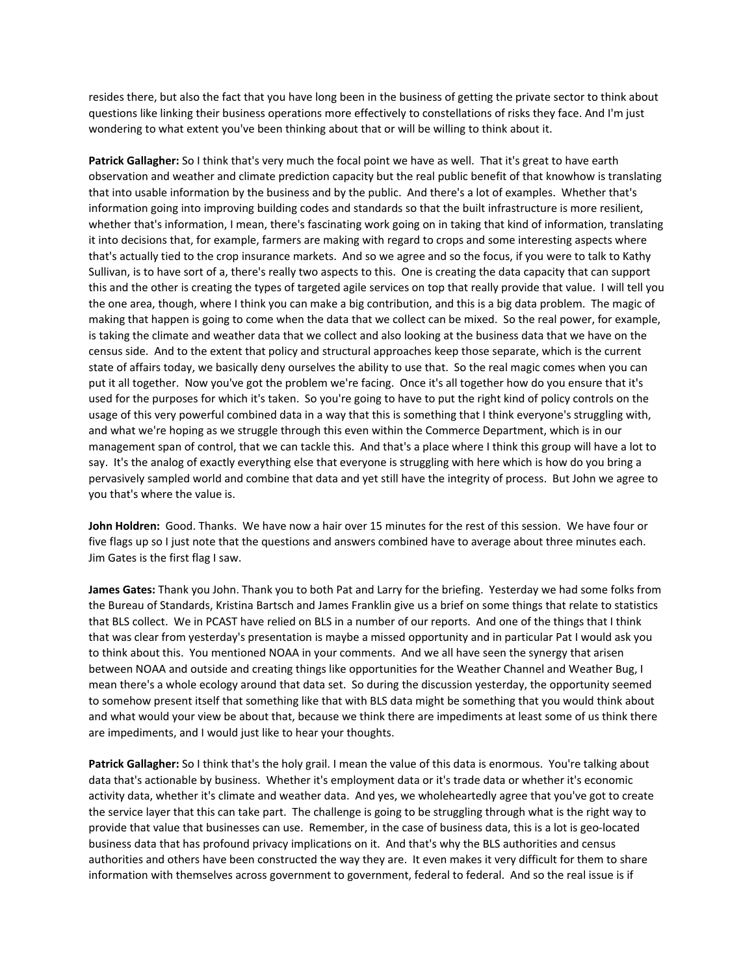resides there, but also the fact that you have long been in the business of getting the private sector to think about questions like linking their business operations more effectively to constellations of risks they face. And I'm just wondering to what extent you've been thinking about that or will be willing to think about it.

**Patrick Gallagher:** So I think that's very much the focal point we have as well. That it's great to have earth observation and weather and climate prediction capacity but the real public benefit of that knowhow is translating that into usable information by the business and by the public. And there's a lot of examples. Whether that's information going into improving building codes and standards so that the built infrastructure is more resilient, whether that's information, I mean, there's fascinating work going on in taking that kind of information, translating it into decisions that, for example, farmers are making with regard to crops and some interesting aspects where that's actually tied to the crop insurance markets. And so we agree and so the focus, if you were to talk to Kathy Sullivan, is to have sort of a, there's really two aspects to this. One is creating the data capacity that can support this and the other is creating the types of targeted agile services on top that really provide that value. I will tell you the one area, though, where I think you can make a big contribution, and this is a big data problem. The magic of making that happen is going to come when the data that we collect can be mixed. So the real power, for example, is taking the climate and weather data that we collect and also looking at the business data that we have on the census side. And to the extent that policy and structural approaches keep those separate, which is the current state of affairs today, we basically deny ourselves the ability to use that. So the real magic comes when you can put it all together. Now you've got the problem we're facing. Once it's all together how do you ensure that it's used for the purposes for which it's taken. So you're going to have to put the right kind of policy controls on the usage of this very powerful combined data in a way that this is something that I think everyone's struggling with, and what we're hoping as we struggle through this even within the Commerce Department, which is in our management span of control, that we can tackle this. And that's a place where I think this group will have a lot to say. It's the analog of exactly everything else that everyone is struggling with here which is how do you bring a pervasively sampled world and combine that data and yet still have the integrity of process. But John we agree to you that's where the value is.

**John Holdren:** Good. Thanks. We have now a hair over 15 minutes for the rest of this session. We have four or five flags up so I just note that the questions and answers combined have to average about three minutes each. Jim Gates is the first flag I saw.

**James Gates:** Thank you John. Thank you to both Pat and Larry for the briefing. Yesterday we had some folks from the Bureau of Standards, Kristina Bartsch and James Franklin give us a brief on some things that relate to statistics that BLS collect. We in PCAST have relied on BLS in a number of our reports. And one of the things that I think that was clear from yesterday's presentation is maybe a missed opportunity and in particular Pat I would ask you to think about this. You mentioned NOAA in your comments. And we all have seen the synergy that arisen between NOAA and outside and creating things like opportunities for the Weather Channel and Weather Bug, I mean there's a whole ecology around that data set. So during the discussion yesterday, the opportunity seemed to somehow present itself that something like that with BLS data might be something that you would think about and what would your view be about that, because we think there are impediments at least some of us think there are impediments, and I would just like to hear your thoughts.

**Patrick Gallagher:** So I think that's the holy grail. I mean the value of this data is enormous. You're talking about data that's actionable by business. Whether it's employment data or it's trade data or whether it's economic activity data, whether it's climate and weather data. And yes, we wholeheartedly agree that you've got to create the service layer that this can take part. The challenge is going to be struggling through what is the right way to provide that value that businesses can use. Remember, in the case of business data, this is a lot is geo‐located business data that has profound privacy implications on it. And that's why the BLS authorities and census authorities and others have been constructed the way they are. It even makes it very difficult for them to share information with themselves across government to government, federal to federal. And so the real issue is if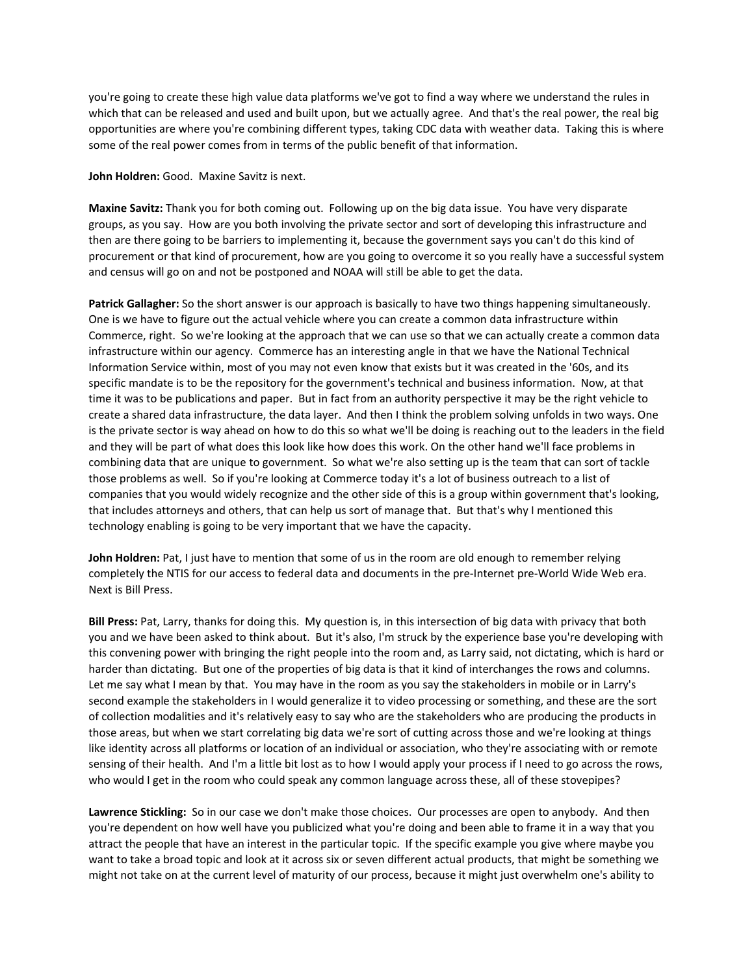you're going to create these high value data platforms we've got to find a way where we understand the rules in which that can be released and used and built upon, but we actually agree. And that's the real power, the real big opportunities are where you're combining different types, taking CDC data with weather data. Taking this is where some of the real power comes from in terms of the public benefit of that information.

**John Holdren:** Good. Maxine Savitz is next.

**Maxine Savitz:** Thank you for both coming out. Following up on the big data issue. You have very disparate groups, as you say. How are you both involving the private sector and sort of developing this infrastructure and then are there going to be barriers to implementing it, because the government says you can't do this kind of procurement or that kind of procurement, how are you going to overcome it so you really have a successful system and census will go on and not be postponed and NOAA will still be able to get the data.

**Patrick Gallagher:** So the short answer is our approach is basically to have two things happening simultaneously. One is we have to figure out the actual vehicle where you can create a common data infrastructure within Commerce, right. So we're looking at the approach that we can use so that we can actually create a common data infrastructure within our agency. Commerce has an interesting angle in that we have the National Technical Information Service within, most of you may not even know that exists but it was created in the '60s, and its specific mandate is to be the repository for the government's technical and business information. Now, at that time it was to be publications and paper. But in fact from an authority perspective it may be the right vehicle to create a shared data infrastructure, the data layer. And then I think the problem solving unfolds in two ways. One is the private sector is way ahead on how to do this so what we'll be doing is reaching out to the leaders in the field and they will be part of what does this look like how does this work. On the other hand we'll face problems in combining data that are unique to government. So what we're also setting up is the team that can sort of tackle those problems as well. So if you're looking at Commerce today it's a lot of business outreach to a list of companies that you would widely recognize and the other side of this is a group within government that's looking, that includes attorneys and others, that can help us sort of manage that. But that's why I mentioned this technology enabling is going to be very important that we have the capacity.

**John Holdren:** Pat, I just have to mention that some of us in the room are old enough to remember relying completely the NTIS for our access to federal data and documents in the pre-Internet pre-World Wide Web era. Next is Bill Press.

**Bill Press:** Pat, Larry, thanks for doing this. My question is, in this intersection of big data with privacy that both you and we have been asked to think about. But it's also, I'm struck by the experience base you're developing with this convening power with bringing the right people into the room and, as Larry said, not dictating, which is hard or harder than dictating. But one of the properties of big data is that it kind of interchanges the rows and columns. Let me say what I mean by that. You may have in the room as you say the stakeholders in mobile or in Larry's second example the stakeholders in I would generalize it to video processing or something, and these are the sort of collection modalities and it's relatively easy to say who are the stakeholders who are producing the products in those areas, but when we start correlating big data we're sort of cutting across those and we're looking at things like identity across all platforms or location of an individual or association, who they're associating with or remote sensing of their health. And I'm a little bit lost as to how I would apply your process if I need to go across the rows, who would I get in the room who could speak any common language across these, all of these stovepipes?

**Lawrence Stickling:** So in our case we don't make those choices. Our processes are open to anybody. And then you're dependent on how well have you publicized what you're doing and been able to frame it in a way that you attract the people that have an interest in the particular topic. If the specific example you give where maybe you want to take a broad topic and look at it across six or seven different actual products, that might be something we might not take on at the current level of maturity of our process, because it might just overwhelm one's ability to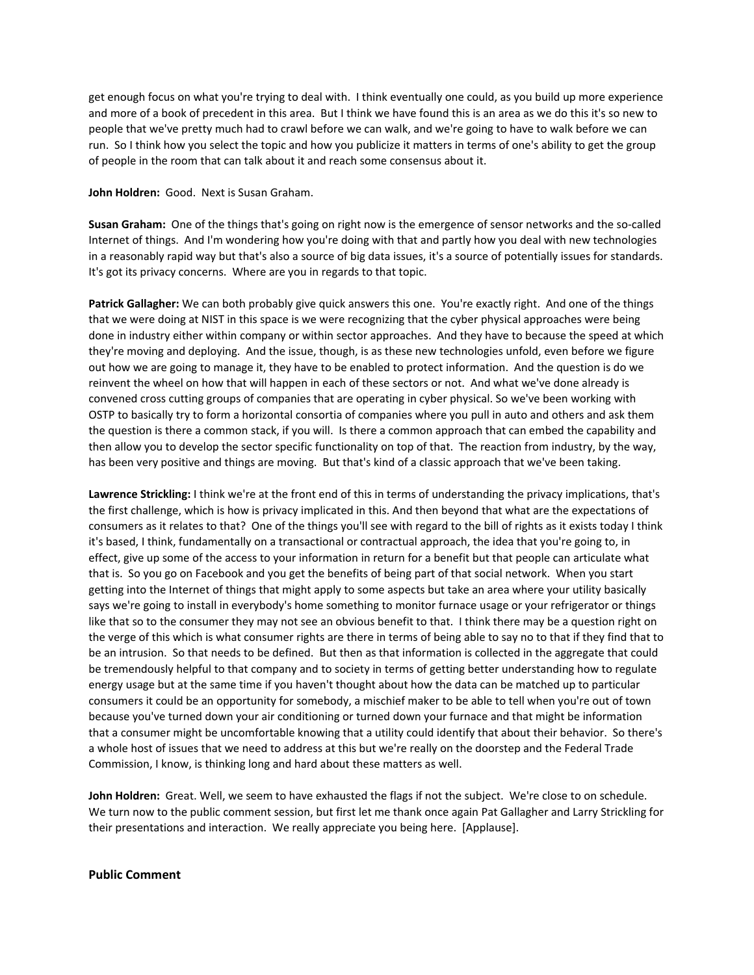get enough focus on what you're trying to deal with. I think eventually one could, as you build up more experience and more of a book of precedent in this area. But I think we have found this is an area as we do this it's so new to people that we've pretty much had to crawl before we can walk, and we're going to have to walk before we can run. So I think how you select the topic and how you publicize it matters in terms of one's ability to get the group of people in the room that can talk about it and reach some consensus about it.

### **John Holdren:** Good. Next is Susan Graham.

**Susan Graham:** One of the things that's going on right now is the emergence of sensor networks and the so‐called Internet of things. And I'm wondering how you're doing with that and partly how you deal with new technologies in a reasonably rapid way but that's also a source of big data issues, it's a source of potentially issues for standards. It's got its privacy concerns. Where are you in regards to that topic.

**Patrick Gallagher:** We can both probably give quick answers this one. You're exactly right. And one of the things that we were doing at NIST in this space is we were recognizing that the cyber physical approaches were being done in industry either within company or within sector approaches. And they have to because the speed at which they're moving and deploying. And the issue, though, is as these new technologies unfold, even before we figure out how we are going to manage it, they have to be enabled to protect information. And the question is do we reinvent the wheel on how that will happen in each of these sectors or not. And what we've done already is convened cross cutting groups of companies that are operating in cyber physical. So we've been working with OSTP to basically try to form a horizontal consortia of companies where you pull in auto and others and ask them the question is there a common stack, if you will. Is there a common approach that can embed the capability and then allow you to develop the sector specific functionality on top of that. The reaction from industry, by the way, has been very positive and things are moving. But that's kind of a classic approach that we've been taking.

**Lawrence Strickling:** I think we're at the front end of this in terms of understanding the privacy implications, that's the first challenge, which is how is privacy implicated in this. And then beyond that what are the expectations of consumers as it relates to that? One of the things you'll see with regard to the bill of rights as it exists today I think it's based, I think, fundamentally on a transactional or contractual approach, the idea that you're going to, in effect, give up some of the access to your information in return for a benefit but that people can articulate what that is. So you go on Facebook and you get the benefits of being part of that social network. When you start getting into the Internet of things that might apply to some aspects but take an area where your utility basically says we're going to install in everybody's home something to monitor furnace usage or your refrigerator or things like that so to the consumer they may not see an obvious benefit to that. I think there may be a question right on the verge of this which is what consumer rights are there in terms of being able to say no to that if they find that to be an intrusion. So that needs to be defined. But then as that information is collected in the aggregate that could be tremendously helpful to that company and to society in terms of getting better understanding how to regulate energy usage but at the same time if you haven't thought about how the data can be matched up to particular consumers it could be an opportunity for somebody, a mischief maker to be able to tell when you're out of town because you've turned down your air conditioning or turned down your furnace and that might be information that a consumer might be uncomfortable knowing that a utility could identify that about their behavior. So there's a whole host of issues that we need to address at this but we're really on the doorstep and the Federal Trade Commission, I know, is thinking long and hard about these matters as well.

**John Holdren:** Great. Well, we seem to have exhausted the flags if not the subject. We're close to on schedule. We turn now to the public comment session, but first let me thank once again Pat Gallagher and Larry Strickling for their presentations and interaction. We really appreciate you being here. [Applause].

## **Public Comment**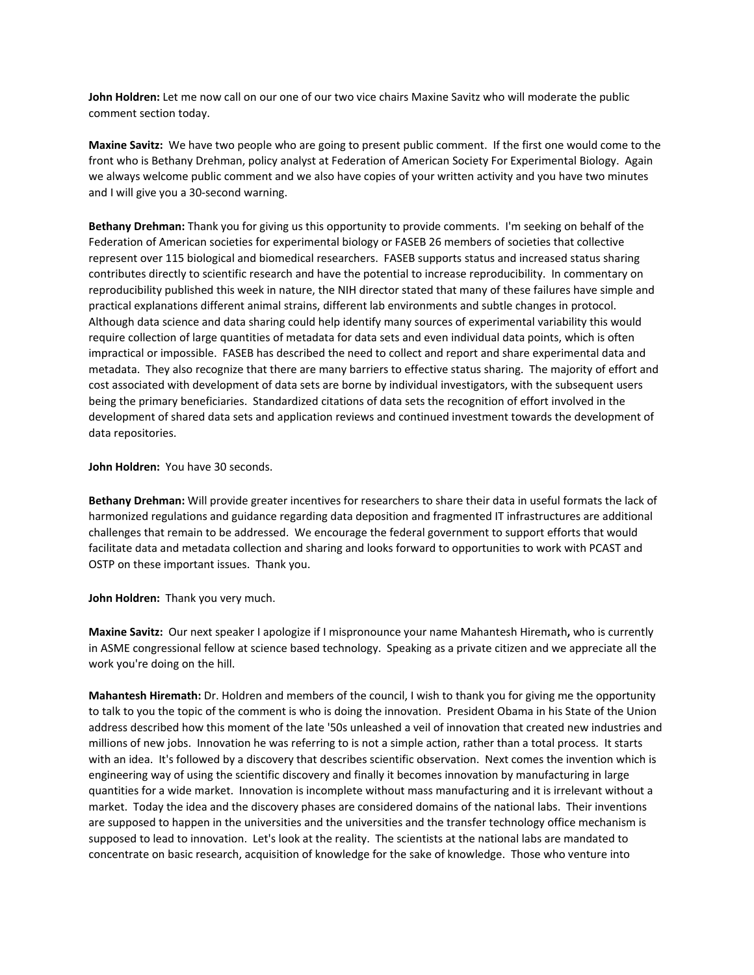**John Holdren:** Let me now call on our one of our two vice chairs Maxine Savitz who will moderate the public comment section today.

**Maxine Savitz:** We have two people who are going to present public comment. If the first one would come to the front who is Bethany Drehman, policy analyst at Federation of American Society For Experimental Biology. Again we always welcome public comment and we also have copies of your written activity and you have two minutes and I will give you a 30‐second warning.

**Bethany Drehman:** Thank you for giving us this opportunity to provide comments. I'm seeking on behalf of the Federation of American societies for experimental biology or FASEB 26 members of societies that collective represent over 115 biological and biomedical researchers. FASEB supports status and increased status sharing contributes directly to scientific research and have the potential to increase reproducibility. In commentary on reproducibility published this week in nature, the NIH director stated that many of these failures have simple and practical explanations different animal strains, different lab environments and subtle changes in protocol. Although data science and data sharing could help identify many sources of experimental variability this would require collection of large quantities of metadata for data sets and even individual data points, which is often impractical or impossible. FASEB has described the need to collect and report and share experimental data and metadata. They also recognize that there are many barriers to effective status sharing. The majority of effort and cost associated with development of data sets are borne by individual investigators, with the subsequent users being the primary beneficiaries. Standardized citations of data sets the recognition of effort involved in the development of shared data sets and application reviews and continued investment towards the development of data repositories.

**John Holdren:** You have 30 seconds.

**Bethany Drehman:** Will provide greater incentives for researchers to share their data in useful formats the lack of harmonized regulations and guidance regarding data deposition and fragmented IT infrastructures are additional challenges that remain to be addressed. We encourage the federal government to support efforts that would facilitate data and metadata collection and sharing and looks forward to opportunities to work with PCAST and OSTP on these important issues. Thank you.

**John Holdren:** Thank you very much.

**Maxine Savitz:** Our next speaker I apologize if I mispronounce your name Mahantesh Hiremath**,** who is currently in ASME congressional fellow at science based technology. Speaking as a private citizen and we appreciate all the work you're doing on the hill.

**Mahantesh Hiremath:** Dr. Holdren and members of the council, I wish to thank you for giving me the opportunity to talk to you the topic of the comment is who is doing the innovation. President Obama in his State of the Union address described how this moment of the late '50s unleashed a veil of innovation that created new industries and millions of new jobs. Innovation he was referring to is not a simple action, rather than a total process. It starts with an idea. It's followed by a discovery that describes scientific observation. Next comes the invention which is engineering way of using the scientific discovery and finally it becomes innovation by manufacturing in large quantities for a wide market. Innovation is incomplete without mass manufacturing and it is irrelevant without a market. Today the idea and the discovery phases are considered domains of the national labs. Their inventions are supposed to happen in the universities and the universities and the transfer technology office mechanism is supposed to lead to innovation. Let's look at the reality. The scientists at the national labs are mandated to concentrate on basic research, acquisition of knowledge for the sake of knowledge. Those who venture into